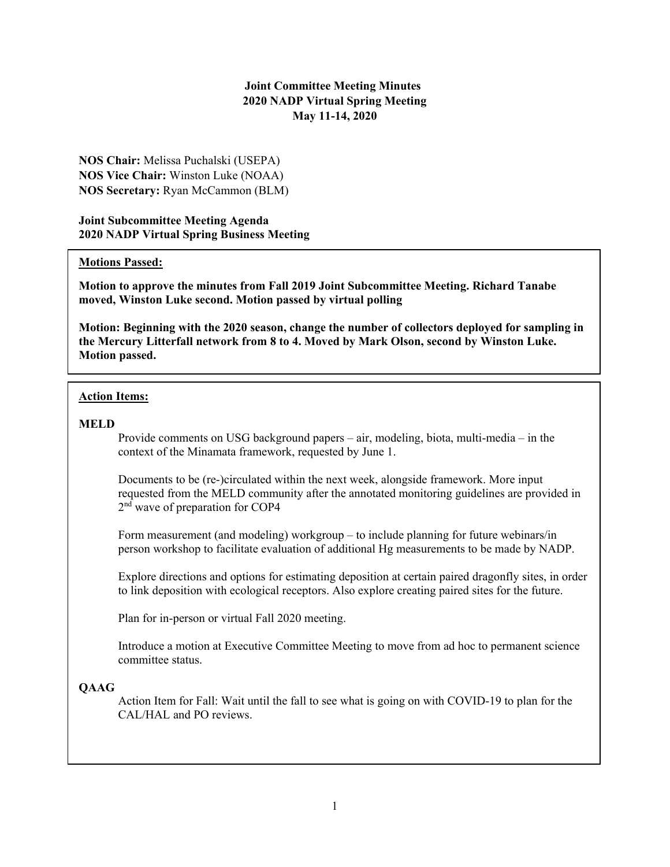## **Joint Committee Meeting Minutes 2020 NADP Virtual Spring Meeting May 11-14, 2020**

**NOS Chair:** Melissa Puchalski (USEPA) **NOS Vice Chair:** Winston Luke (NOAA) **NOS Secretary:** Ryan McCammon (BLM)

**Joint Subcommittee Meeting Agenda 2020 NADP Virtual Spring Business Meeting**

#### **Motions Passed:**

**Motion to approve the minutes from Fall 2019 Joint Subcommittee Meeting. Richard Tanabe moved, Winston Luke second. Motion passed by virtual polling**

**Motion: Beginning with the 2020 season, change the number of collectors deployed for sampling in the Mercury Litterfall network from 8 to 4. Moved by Mark Olson, second by Winston Luke. Motion passed.** 

#### **Action Items:**

#### **MELD**

Provide comments on USG background papers – air, modeling, biota, multi-media – in the context of the Minamata framework, requested by June 1.

Documents to be (re-)circulated within the next week, alongside framework. More input requested from the MELD community after the annotated monitoring guidelines are provided in  $2<sup>nd</sup>$  wave of preparation for COP4

Form measurement (and modeling) workgroup – to include planning for future webinars/in person workshop to facilitate evaluation of additional Hg measurements to be made by NADP.

Explore directions and options for estimating deposition at certain paired dragonfly sites, in order to link deposition with ecological receptors. Also explore creating paired sites for the future.

Plan for in-person or virtual Fall 2020 meeting.

Introduce a motion at Executive Committee Meeting to move from ad hoc to permanent science committee status.

## **QAAG**

Action Item for Fall: Wait until the fall to see what is going on with COVID-19 to plan for the CAL/HAL and PO reviews.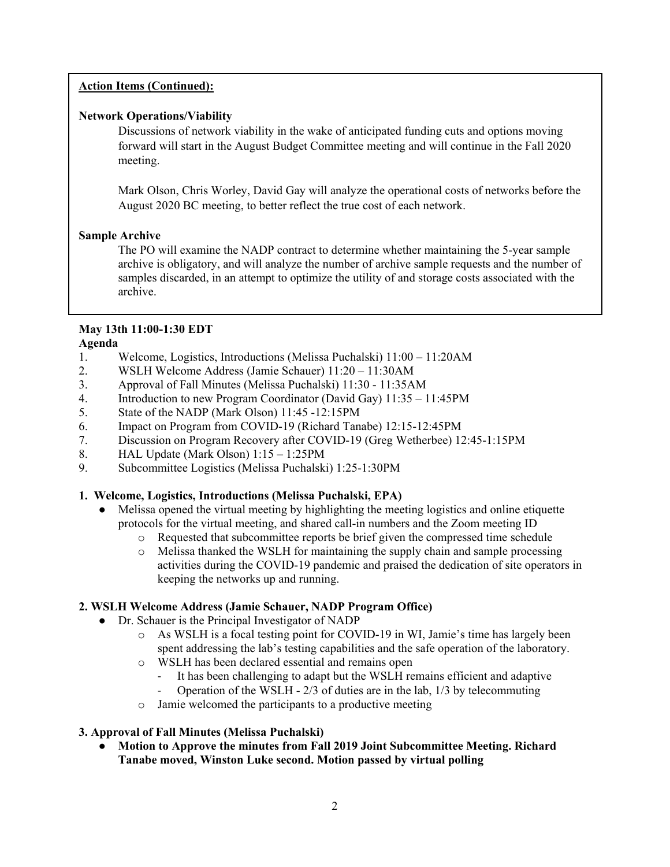## **Action Items (Continued):**

## **Network Operations/Viability**

Discussions of network viability in the wake of anticipated funding cuts and options moving forward will start in the August Budget Committee meeting and will continue in the Fall 2020 meeting.

Mark Olson, Chris Worley, David Gay will analyze the operational costs of networks before the August 2020 BC meeting, to better reflect the true cost of each network.

# **Sample Archive**

The PO will examine the NADP contract to determine whether maintaining the 5-year sample archive is obligatory, and will analyze the number of archive sample requests and the number of samples discarded, in an attempt to optimize the utility of and storage costs associated with the archive.

# **May 13th 11:00-1:30 EDT**

## **Agenda**

- 1. Welcome, Logistics, Introductions (Melissa Puchalski) 11:00 11:20AM
- 2. WSLH Welcome Address (Jamie Schauer) 11:20 11:30AM
- 3. Approval of Fall Minutes (Melissa Puchalski) 11:30 11:35AM
- 4. Introduction to new Program Coordinator (David Gay) 11:35 11:45PM
- 5. State of the NADP (Mark Olson) 11:45 -12:15PM
- 6. Impact on Program from COVID-19 (Richard Tanabe) 12:15-12:45PM
- 7. Discussion on Program Recovery after COVID-19 (Greg Wetherbee) 12:45-1:15PM
- 8. HAL Update (Mark Olson) 1:15 1:25PM
- 9. Subcommittee Logistics (Melissa Puchalski) 1:25-1:30PM

# **1. Welcome, Logistics, Introductions (Melissa Puchalski, EPA)**

- Melissa opened the virtual meeting by highlighting the meeting logistics and online etiquette protocols for the virtual meeting, and shared call-in numbers and the Zoom meeting ID
	- o Requested that subcommittee reports be brief given the compressed time schedule
	- o Melissa thanked the WSLH for maintaining the supply chain and sample processing activities during the COVID-19 pandemic and praised the dedication of site operators in keeping the networks up and running.

## **2. WSLH Welcome Address (Jamie Schauer, NADP Program Office)**

- Dr. Schauer is the Principal Investigator of NADP
	- o As WSLH is a focal testing point for COVID-19 in WI, Jamie's time has largely been spent addressing the lab's testing capabilities and the safe operation of the laboratory.
	- o WSLH has been declared essential and remains open
		- It has been challenging to adapt but the WSLH remains efficient and adaptive
		- Operation of the WSLH 2/3 of duties are in the lab, 1/3 by telecommuting
	- o Jamie welcomed the participants to a productive meeting

# **3. Approval of Fall Minutes (Melissa Puchalski)**

● **Motion to Approve the minutes from Fall 2019 Joint Subcommittee Meeting. Richard Tanabe moved, Winston Luke second. Motion passed by virtual polling**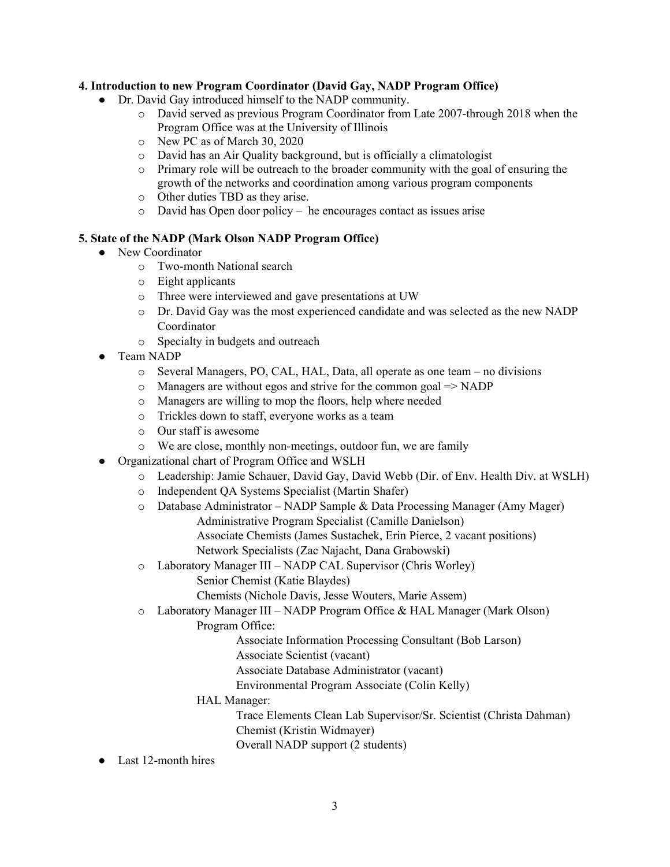## **4. Introduction to new Program Coordinator (David Gay, NADP Program Office)**

- Dr. David Gay introduced himself to the NADP community.
	- o David served as previous Program Coordinator from Late 2007-through 2018 when the Program Office was at the University of Illinois
	- o New PC as of March 30, 2020
	- o David has an Air Quality background, but is officially a climatologist
	- $\circ$  Primary role will be outreach to the broader community with the goal of ensuring the growth of the networks and coordination among various program components
	- o Other duties TBD as they arise.
	- o David has Open door policy he encourages contact as issues arise

## **5. State of the NADP (Mark Olson NADP Program Office)**

- New Coordinator
	- o Two-month National search
	- o Eight applicants
	- o Three were interviewed and gave presentations at UW
	- o Dr. David Gay was the most experienced candidate and was selected as the new NADP Coordinator
	- o Specialty in budgets and outreach
- Team NADP
	- o Several Managers, PO, CAL, HAL, Data, all operate as one team no divisions
	- $\circ$  Managers are without egos and strive for the common goal  $\Rightarrow$  NADP
	- o Managers are willing to mop the floors, help where needed
	- o Trickles down to staff, everyone works as a team
	- o Our staff is awesome
	- o We are close, monthly non-meetings, outdoor fun, we are family
- Organizational chart of Program Office and WSLH
	- o Leadership: Jamie Schauer, David Gay, David Webb (Dir. of Env. Health Div. at WSLH)
	- o Independent QA Systems Specialist (Martin Shafer)
	- o Database Administrator NADP Sample & Data Processing Manager (Amy Mager)
		- Administrative Program Specialist (Camille Danielson)
			- Associate Chemists (James Sustachek, Erin Pierce, 2 vacant positions) Network Specialists (Zac Najacht, Dana Grabowski)
	- o Laboratory Manager III NADP CAL Supervisor (Chris Worley) Senior Chemist (Katie Blaydes)
		- Chemists (Nichole Davis, Jesse Wouters, Marie Assem)
	- o Laboratory Manager III NADP Program Office & HAL Manager (Mark Olson)

Program Office:

- Associate Information Processing Consultant (Bob Larson)
- Associate Scientist (vacant)
- Associate Database Administrator (vacant)
- Environmental Program Associate (Colin Kelly)
- HAL Manager:
	- Trace Elements Clean Lab Supervisor/Sr. Scientist (Christa Dahman) Chemist (Kristin Widmayer)
	- Overall NADP support (2 students)
- Last 12-month hires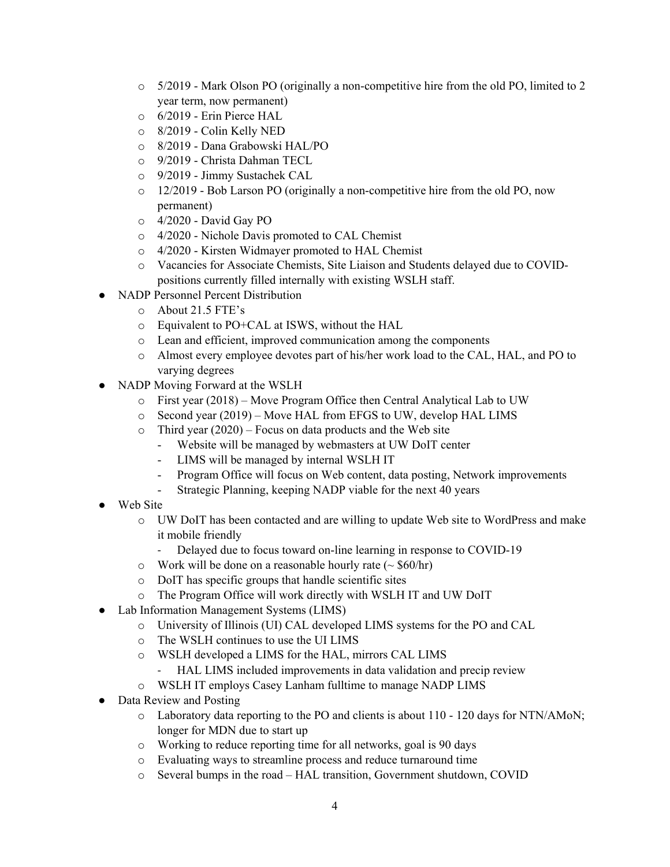- $\circ$  5/2019 Mark Olson PO (originally a non-competitive hire from the old PO, limited to 2 year term, now permanent)
- o 6/2019 Erin Pierce HAL
- o 8/2019 Colin Kelly NED
- o 8/2019 Dana Grabowski HAL/PO
- o 9/2019 Christa Dahman TECL
- o 9/2019 Jimmy Sustachek CAL
- $\circ$  12/2019 Bob Larson PO (originally a non-competitive hire from the old PO, now permanent)
- o 4/2020 David Gay PO
- o 4/2020 Nichole Davis promoted to CAL Chemist
- o 4/2020 Kirsten Widmayer promoted to HAL Chemist
- o Vacancies for Associate Chemists, Site Liaison and Students delayed due to COVIDpositions currently filled internally with existing WSLH staff.
- NADP Personnel Percent Distribution
	- o About 21.5 FTE's
	- o Equivalent to PO+CAL at ISWS, without the HAL
	- o Lean and efficient, improved communication among the components
	- o Almost every employee devotes part of his/her work load to the CAL, HAL, and PO to varying degrees
- NADP Moving Forward at the WSLH
	- o First year (2018) Move Program Office then Central Analytical Lab to UW
	- o Second year (2019) Move HAL from EFGS to UW, develop HAL LIMS
	- $\circ$  Third year (2020) Focus on data products and the Web site
		- Website will be managed by webmasters at UW DoIT center
		- LIMS will be managed by internal WSLH IT
		- Program Office will focus on Web content, data posting, Network improvements
		- Strategic Planning, keeping NADP viable for the next 40 years
- Web Site
	- o UW DoIT has been contacted and are willing to update Web site to WordPress and make it mobile friendly
		- Delayed due to focus toward on-line learning in response to COVID-19
	- $\circ$  Work will be done on a reasonable hourly rate ( $\sim$  \$60/hr)
	- o DoIT has specific groups that handle scientific sites
	- o The Program Office will work directly with WSLH IT and UW DoIT
- Lab Information Management Systems (LIMS)
	- o University of Illinois (UI) CAL developed LIMS systems for the PO and CAL
	- o The WSLH continues to use the UI LIMS
	- o WSLH developed a LIMS for the HAL, mirrors CAL LIMS
		- HAL LIMS included improvements in data validation and precip review
	- o WSLH IT employs Casey Lanham fulltime to manage NADP LIMS
- Data Review and Posting
	- o Laboratory data reporting to the PO and clients is about 110 120 days for NTN/AMoN; longer for MDN due to start up
	- o Working to reduce reporting time for all networks, goal is 90 days
	- o Evaluating ways to streamline process and reduce turnaround time
	- o Several bumps in the road HAL transition, Government shutdown, COVID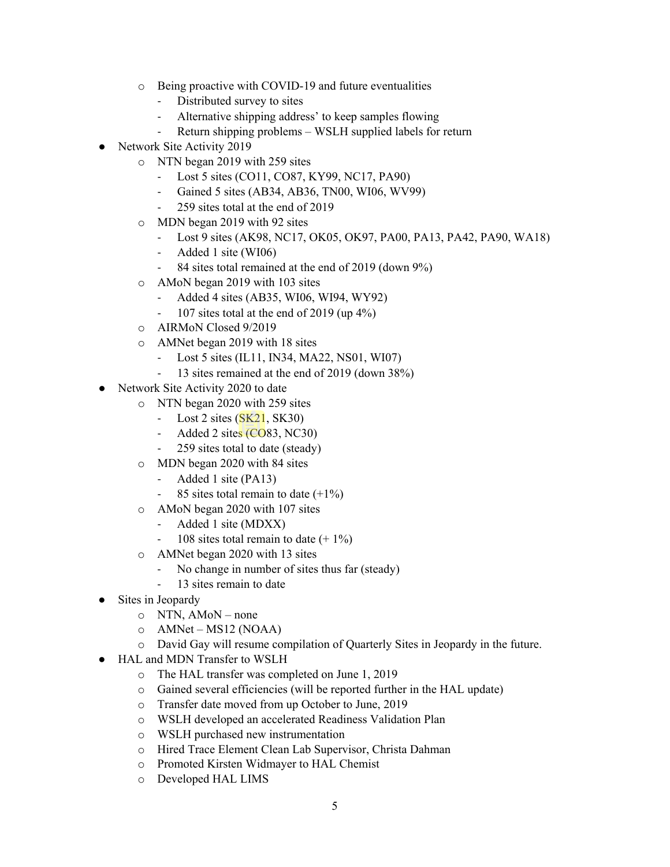- o Being proactive with COVID-19 and future eventualities
	- Distributed survey to sites
	- Alternative shipping address' to keep samples flowing
	- Return shipping problems WSLH supplied labels for return
- Network Site Activity 2019
	- o NTN began 2019 with 259 sites
		- Lost 5 sites (CO11, CO87, KY99, NC17, PA90)
		- Gained 5 sites (AB34, AB36, TN00, WI06, WV99)
		- 259 sites total at the end of 2019
	- o MDN began 2019 with 92 sites
		- Lost 9 sites (AK98, NC17, OK05, OK97, PA00, PA13, PA42, PA90, WA18)
		- Added 1 site (WI06)
		- 84 sites total remained at the end of 2019 (down 9%)
	- o AMoN began 2019 with 103 sites
		- Added 4 sites (AB35, WI06, WI94, WY92)
		- 107 sites total at the end of 2019 (up  $4\%$ )
	- o AIRMoN Closed 9/2019
	- o AMNet began 2019 with 18 sites
		- Lost 5 sites (IL11, IN34, MA22, NS01, WI07)
		- 13 sites remained at the end of 2019 (down 38%)
- Network Site Activity 2020 to date
	- o NTN began 2020 with 259 sites
		- Lost 2 sites (SK21, SK30)
		- Added 2 sites (CO83, NC30)
		- 259 sites total to date (steady)
	- o MDN began 2020 with 84 sites
		- Added 1 site (PA13)
		- 85 sites total remain to date  $(+1\%)$
	- o AMoN began 2020 with 107 sites
		- Added 1 site (MDXX)
		- 108 sites total remain to date  $(+1\%)$
	- o AMNet began 2020 with 13 sites
		- No change in number of sites thus far (steady)
		- 13 sites remain to date
- Sites in Jeopardy
	- o NTN, AMoN none
	- o AMNet MS12 (NOAA)
	- o David Gay will resume compilation of Quarterly Sites in Jeopardy in the future.
- HAL and MDN Transfer to WSLH
	- o The HAL transfer was completed on June 1, 2019
	- o Gained several efficiencies (will be reported further in the HAL update)
	- o Transfer date moved from up October to June, 2019
	- o WSLH developed an accelerated Readiness Validation Plan
	- o WSLH purchased new instrumentation
	- o Hired Trace Element Clean Lab Supervisor, Christa Dahman
	- o Promoted Kirsten Widmayer to HAL Chemist
	- o Developed HAL LIMS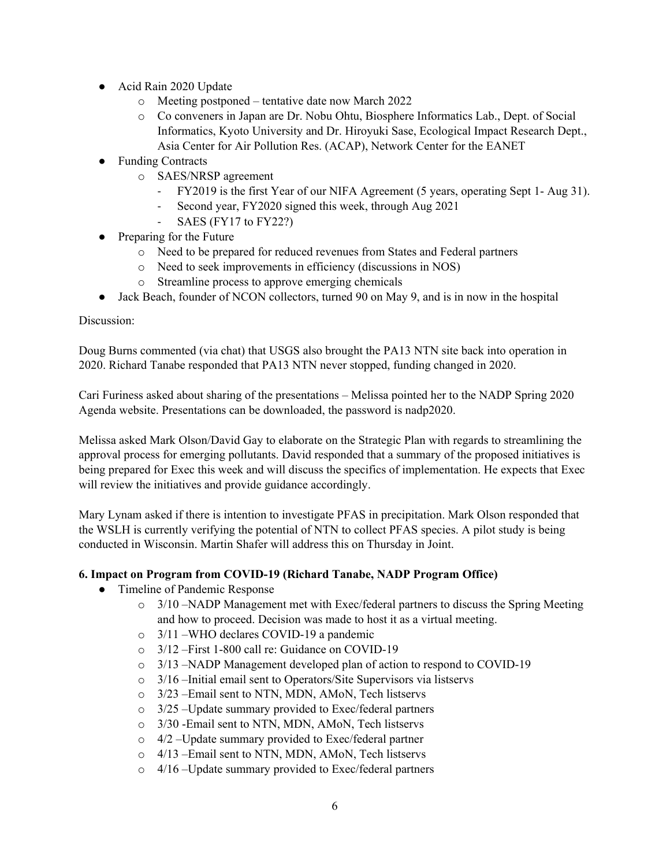- Acid Rain 2020 Update
	- o Meeting postponed tentative date now March 2022
	- o Co conveners in Japan are Dr. Nobu Ohtu, Biosphere Informatics Lab., Dept. of Social Informatics, Kyoto University and Dr. Hiroyuki Sase, Ecological Impact Research Dept., Asia Center for Air Pollution Res. (ACAP), Network Center for the EANET
- Funding Contracts
	- o SAES/NRSP agreement
		- FY2019 is the first Year of our NIFA Agreement (5 years, operating Sept 1- Aug 31).
		- Second year, FY2020 signed this week, through Aug 2021
		- SAES (FY17 to FY22?)
- Preparing for the Future
	- o Need to be prepared for reduced revenues from States and Federal partners
	- o Need to seek improvements in efficiency (discussions in NOS)
	- o Streamline process to approve emerging chemicals
- Jack Beach, founder of NCON collectors, turned 90 on May 9, and is in now in the hospital

Doug Burns commented (via chat) that USGS also brought the PA13 NTN site back into operation in 2020. Richard Tanabe responded that PA13 NTN never stopped, funding changed in 2020.

Cari Furiness asked about sharing of the presentations – Melissa pointed her to the NADP Spring 2020 Agenda website. Presentations can be downloaded, the password is nadp2020.

Melissa asked Mark Olson/David Gay to elaborate on the Strategic Plan with regards to streamlining the approval process for emerging pollutants. David responded that a summary of the proposed initiatives is being prepared for Exec this week and will discuss the specifics of implementation. He expects that Exec will review the initiatives and provide guidance accordingly.

Mary Lynam asked if there is intention to investigate PFAS in precipitation. Mark Olson responded that the WSLH is currently verifying the potential of NTN to collect PFAS species. A pilot study is being conducted in Wisconsin. Martin Shafer will address this on Thursday in Joint.

# **6. Impact on Program from COVID-19 (Richard Tanabe, NADP Program Office)**

- Timeline of Pandemic Response
	- $\circ$  3/10 –NADP Management met with Exec/federal partners to discuss the Spring Meeting and how to proceed. Decision was made to host it as a virtual meeting.
	- o 3/11 –WHO declares COVID-19 a pandemic
	- o 3/12 –First 1-800 call re: Guidance on COVID-19
	- o 3/13 –NADP Management developed plan of action to respond to COVID-19
	- o 3/16 –Initial email sent to Operators/Site Supervisors via listservs
	- o 3/23 –Email sent to NTN, MDN, AMoN, Tech listservs
	- o 3/25 –Update summary provided to Exec/federal partners
	- o 3/30 -Email sent to NTN, MDN, AMoN, Tech listservs
	- o 4/2 –Update summary provided to Exec/federal partner
	- o 4/13 –Email sent to NTN, MDN, AMoN, Tech listservs
	- o 4/16 –Update summary provided to Exec/federal partners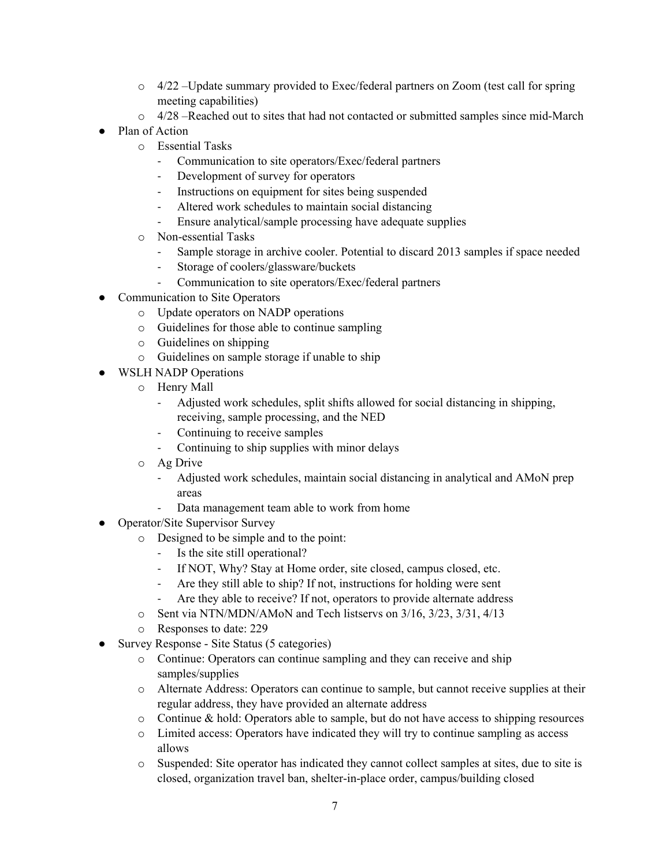- $\circ$  4/22 –Update summary provided to Exec/federal partners on Zoom (test call for spring meeting capabilities)
- $\circ$  4/28 –Reached out to sites that had not contacted or submitted samples since mid-March
- Plan of Action
	- o Essential Tasks
		- Communication to site operators/Exec/federal partners
		- Development of survey for operators
		- Instructions on equipment for sites being suspended
		- Altered work schedules to maintain social distancing
		- Ensure analytical/sample processing have adequate supplies
	- o Non-essential Tasks
		- Sample storage in archive cooler. Potential to discard 2013 samples if space needed
		- Storage of coolers/glassware/buckets
		- Communication to site operators/Exec/federal partners
- Communication to Site Operators
	- o Update operators on NADP operations
	- o Guidelines for those able to continue sampling
	- o Guidelines on shipping
	- o Guidelines on sample storage if unable to ship
- WSLH NADP Operations
	- o Henry Mall
		- Adjusted work schedules, split shifts allowed for social distancing in shipping, receiving, sample processing, and the NED
		- Continuing to receive samples
		- Continuing to ship supplies with minor delays
	- o Ag Drive
		- Adjusted work schedules, maintain social distancing in analytical and AMoN prep areas
		- Data management team able to work from home
- Operator/Site Supervisor Survey
	- o Designed to be simple and to the point:
		- Is the site still operational?
		- If NOT, Why? Stay at Home order, site closed, campus closed, etc.
		- Are they still able to ship? If not, instructions for holding were sent
		- Are they able to receive? If not, operators to provide alternate address
	- o Sent via NTN/MDN/AMoN and Tech listservs on 3/16, 3/23, 3/31, 4/13
	- o Responses to date: 229
- Survey Response Site Status (5 categories)
	- o Continue: Operators can continue sampling and they can receive and ship samples/supplies
	- o Alternate Address: Operators can continue to sample, but cannot receive supplies at their regular address, they have provided an alternate address
	- $\circ$  Continue & hold: Operators able to sample, but do not have access to shipping resources
	- o Limited access: Operators have indicated they will try to continue sampling as access allows
	- o Suspended: Site operator has indicated they cannot collect samples at sites, due to site is closed, organization travel ban, shelter-in-place order, campus/building closed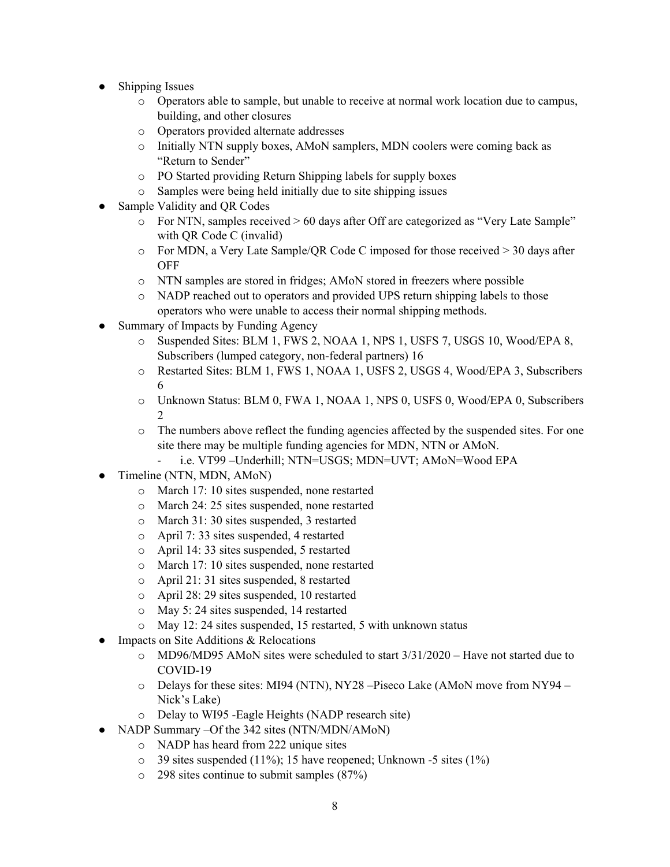- **Shipping Issues** 
	- o Operators able to sample, but unable to receive at normal work location due to campus, building, and other closures
	- o Operators provided alternate addresses
	- o Initially NTN supply boxes, AMoN samplers, MDN coolers were coming back as "Return to Sender"
	- o PO Started providing Return Shipping labels for supply boxes
	- o Samples were being held initially due to site shipping issues
- Sample Validity and QR Codes
	- o For NTN, samples received > 60 days after Off are categorized as "Very Late Sample" with QR Code C (invalid)
	- $\circ$  For MDN, a Very Late Sample/OR Code C imposed for those received  $>$  30 days after OFF
	- o NTN samples are stored in fridges; AMoN stored in freezers where possible
	- o NADP reached out to operators and provided UPS return shipping labels to those operators who were unable to access their normal shipping methods.
- Summary of Impacts by Funding Agency
	- o Suspended Sites: BLM 1, FWS 2, NOAA 1, NPS 1, USFS 7, USGS 10, Wood/EPA 8, Subscribers (lumped category, non-federal partners) 16
	- o Restarted Sites: BLM 1, FWS 1, NOAA 1, USFS 2, USGS 4, Wood/EPA 3, Subscribers 6
	- o Unknown Status: BLM 0, FWA 1, NOAA 1, NPS 0, USFS 0, Wood/EPA 0, Subscribers 2
	- o The numbers above reflect the funding agencies affected by the suspended sites. For one site there may be multiple funding agencies for MDN, NTN or AMoN.
		- i.e. VT99 Underhill; NTN=USGS; MDN=UVT; AMoN=Wood EPA
- Timeline (NTN, MDN, AMoN)
	- o March 17: 10 sites suspended, none restarted
	- o March 24: 25 sites suspended, none restarted
	- o March 31: 30 sites suspended, 3 restarted
	- o April 7: 33 sites suspended, 4 restarted
	- o April 14: 33 sites suspended, 5 restarted
	- o March 17: 10 sites suspended, none restarted
	- o April 21: 31 sites suspended, 8 restarted
	- o April 28: 29 sites suspended, 10 restarted
	- o May 5: 24 sites suspended, 14 restarted
	- o May 12: 24 sites suspended, 15 restarted, 5 with unknown status
- Impacts on Site Additions  $&$  Relocations
	- $\circ$  MD96/MD95 AMoN sites were scheduled to start  $3/31/2020$  Have not started due to COVID-19
	- $\circ$  Delays for these sites: MI94 (NTN), NY28 –Piseco Lake (AMoN move from NY94 Nick's Lake)
	- o Delay to WI95 -Eagle Heights (NADP research site)
- NADP Summary –Of the 342 sites (NTN/MDN/AMoN)
	- o NADP has heard from 222 unique sites
	- $\circ$  39 sites suspended (11%); 15 have reopened; Unknown -5 sites (1%)
	- o 298 sites continue to submit samples (87%)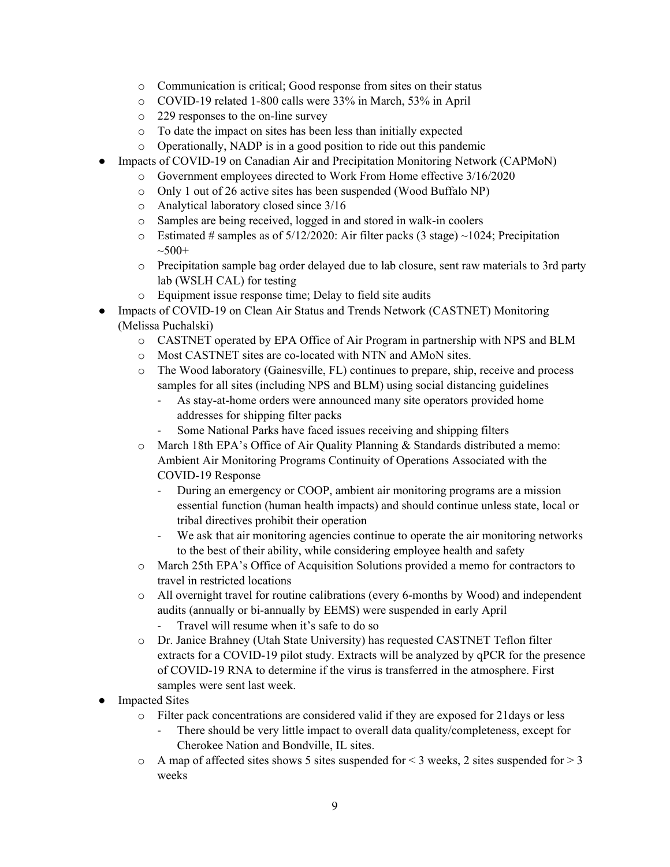- o Communication is critical; Good response from sites on their status
- o COVID-19 related 1-800 calls were 33% in March, 53% in April
- o 229 responses to the on-line survey
- o To date the impact on sites has been less than initially expected
- o Operationally, NADP is in a good position to ride out this pandemic
- Impacts of COVID-19 on Canadian Air and Precipitation Monitoring Network (CAPMoN)
	- o Government employees directed to Work From Home effective 3/16/2020
	- o Only 1 out of 26 active sites has been suspended (Wood Buffalo NP)
	- o Analytical laboratory closed since 3/16
	- o Samples are being received, logged in and stored in walk-in coolers
	- $\circ$  Estimated # samples as of 5/12/2020: Air filter packs (3 stage) ~1024; Precipitation  $~100+$
	- o Precipitation sample bag order delayed due to lab closure, sent raw materials to 3rd party lab (WSLH CAL) for testing
	- o Equipment issue response time; Delay to field site audits
- Impacts of COVID-19 on Clean Air Status and Trends Network (CASTNET) Monitoring (Melissa Puchalski)
	- o CASTNET operated by EPA Office of Air Program in partnership with NPS and BLM
	- o Most CASTNET sites are co-located with NTN and AMoN sites.
	- o The Wood laboratory (Gainesville, FL) continues to prepare, ship, receive and process samples for all sites (including NPS and BLM) using social distancing guidelines
		- As stay-at-home orders were announced many site operators provided home addresses for shipping filter packs
		- Some National Parks have faced issues receiving and shipping filters
	- o March 18th EPA's Office of Air Quality Planning & Standards distributed a memo: Ambient Air Monitoring Programs Continuity of Operations Associated with the COVID-19 Response
		- During an emergency or COOP, ambient air monitoring programs are a mission essential function (human health impacts) and should continue unless state, local or tribal directives prohibit their operation
		- We ask that air monitoring agencies continue to operate the air monitoring networks to the best of their ability, while considering employee health and safety
	- o March 25th EPA's Office of Acquisition Solutions provided a memo for contractors to travel in restricted locations
	- o All overnight travel for routine calibrations (every 6-months by Wood) and independent audits (annually or bi-annually by EEMS) were suspended in early April
		- Travel will resume when it's safe to do so
	- o Dr. Janice Brahney (Utah State University) has requested CASTNET Teflon filter extracts for a COVID-19 pilot study. Extracts will be analyzed by qPCR for the presence of COVID-19 RNA to determine if the virus is transferred in the atmosphere. First samples were sent last week.
- **Impacted Sites** 
	- o Filter pack concentrations are considered valid if they are exposed for 21days or less
		- There should be very little impact to overall data quality/completeness, except for Cherokee Nation and Bondville, IL sites.
	- $\circ$  A map of affected sites shows 5 sites suspended for  $\leq$  3 weeks, 2 sites suspended for  $\geq$  3 weeks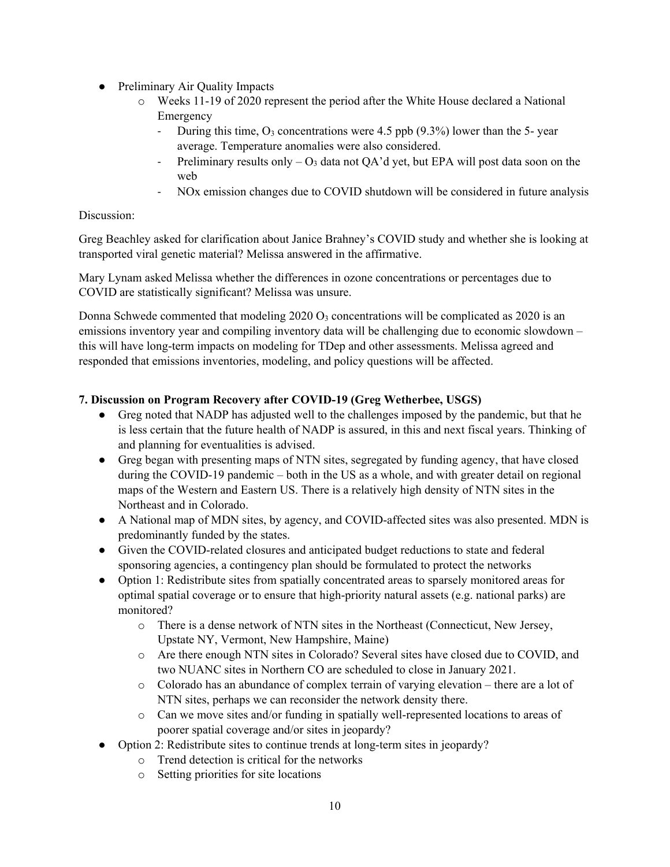- Preliminary Air Quality Impacts
	- o Weeks 11-19 of 2020 represent the period after the White House declared a National Emergency
		- During this time,  $O_3$  concentrations were 4.5 ppb (9.3%) lower than the 5-year average. Temperature anomalies were also considered.
		- Preliminary results only  $O_3$  data not QA'd yet, but EPA will post data soon on the web
		- NOx emission changes due to COVID shutdown will be considered in future analysis

Greg Beachley asked for clarification about Janice Brahney's COVID study and whether she is looking at transported viral genetic material? Melissa answered in the affirmative.

Mary Lynam asked Melissa whether the differences in ozone concentrations or percentages due to COVID are statistically significant? Melissa was unsure.

Donna Schwede commented that modeling  $2020 O_3$  concentrations will be complicated as  $2020$  is an emissions inventory year and compiling inventory data will be challenging due to economic slowdown – this will have long-term impacts on modeling for TDep and other assessments. Melissa agreed and responded that emissions inventories, modeling, and policy questions will be affected.

# **7. Discussion on Program Recovery after COVID-19 (Greg Wetherbee, USGS)**

- Greg noted that NADP has adjusted well to the challenges imposed by the pandemic, but that he is less certain that the future health of NADP is assured, in this and next fiscal years. Thinking of and planning for eventualities is advised.
- Greg began with presenting maps of NTN sites, segregated by funding agency, that have closed during the COVID-19 pandemic – both in the US as a whole, and with greater detail on regional maps of the Western and Eastern US. There is a relatively high density of NTN sites in the Northeast and in Colorado.
- A National map of MDN sites, by agency, and COVID-affected sites was also presented. MDN is predominantly funded by the states.
- Given the COVID-related closures and anticipated budget reductions to state and federal sponsoring agencies, a contingency plan should be formulated to protect the networks
- Option 1: Redistribute sites from spatially concentrated areas to sparsely monitored areas for optimal spatial coverage or to ensure that high-priority natural assets (e.g. national parks) are monitored?
	- o There is a dense network of NTN sites in the Northeast (Connecticut, New Jersey, Upstate NY, Vermont, New Hampshire, Maine)
	- o Are there enough NTN sites in Colorado? Several sites have closed due to COVID, and two NUANC sites in Northern CO are scheduled to close in January 2021.
	- o Colorado has an abundance of complex terrain of varying elevation there are a lot of NTN sites, perhaps we can reconsider the network density there.
	- o Can we move sites and/or funding in spatially well-represented locations to areas of poorer spatial coverage and/or sites in jeopardy?
- Option 2: Redistribute sites to continue trends at long-term sites in jeopardy?
	- o Trend detection is critical for the networks
	- o Setting priorities for site locations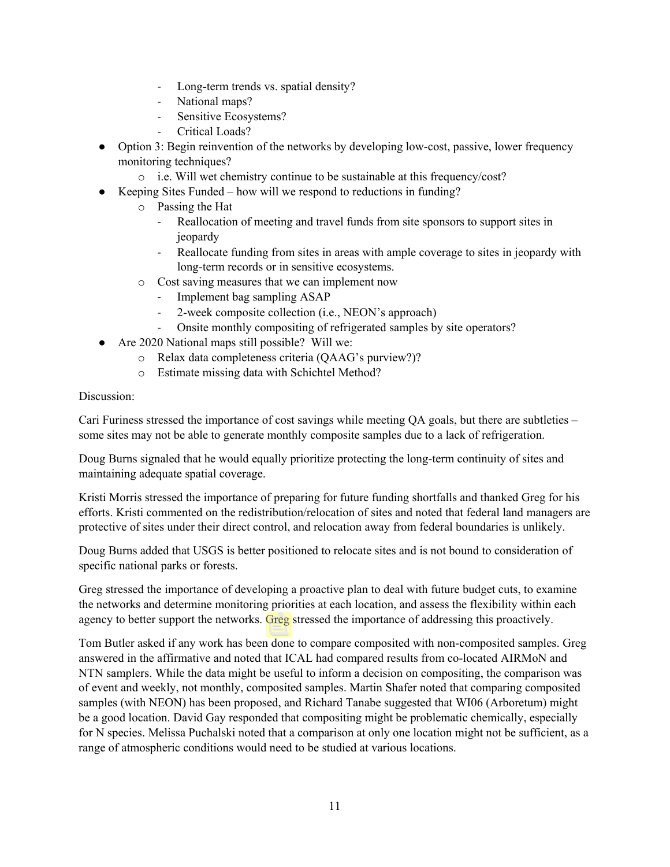- Long-term trends vs. spatial density?
- National maps?
- Sensitive Ecosystems?
- Critical Loads?
- Option 3: Begin reinvention of the networks by developing low-cost, passive, lower frequency monitoring techniques?
	- o i.e. Will wet chemistry continue to be sustainable at this frequency/cost?
- Keeping Sites Funded how will we respond to reductions in funding?
	- o Passing the Hat
		- Reallocation of meeting and travel funds from site sponsors to support sites in jeopardy
		- Reallocate funding from sites in areas with ample coverage to sites in jeopardy with long-term records or in sensitive ecosystems.
	- o Cost saving measures that we can implement now
		- Implement bag sampling ASAP
		- 2-week composite collection (i.e., NEON's approach)
		- Onsite monthly compositing of refrigerated samples by site operators?
- Are 2020 National maps still possible? Will we:
	- o Relax data completeness criteria (QAAG's purview?)?
	- o Estimate missing data with Schichtel Method?

Cari Furiness stressed the importance of cost savings while meeting QA goals, but there are subtleties – some sites may not be able to generate monthly composite samples due to a lack of refrigeration.

Doug Burns signaled that he would equally prioritize protecting the long-term continuity of sites and maintaining adequate spatial coverage.

Kristi Morris stressed the importance of preparing for future funding shortfalls and thanked Greg for his efforts. Kristi commented on the redistribution/relocation of sites and noted that federal land managers are protective of sites under their direct control, and relocation away from federal boundaries is unlikely.

Doug Burns added that USGS is better positioned to relocate sites and is not bound to consideration of specific national parks or forests.

Greg stressed the importance of developing a proactive plan to deal with future budget cuts, to examine the networks and determine monitoring priorities at each location, and assess the flexibility within each agency to better support the networks. Greg stressed the importance of addressing this proactively.

Tom Butler asked if any work has been done to compare composited with non-composited samples. Greg answered in the affirmative and noted that ICAL had compared results from co-located AIRMoN and NTN samplers. While the data might be useful to inform a decision on compositing, the comparison was of event and weekly, not monthly, composited samples. Martin Shafer noted that comparing composited samples (with NEON) has been proposed, and Richard Tanabe suggested that WI06 (Arboretum) might be a good location. David Gay responded that compositing might be problematic chemically, especially for N species. Melissa Puchalski noted that a comparison at only one location might not be sufficient, as a range of atmospheric conditions would need to be studied at various locations.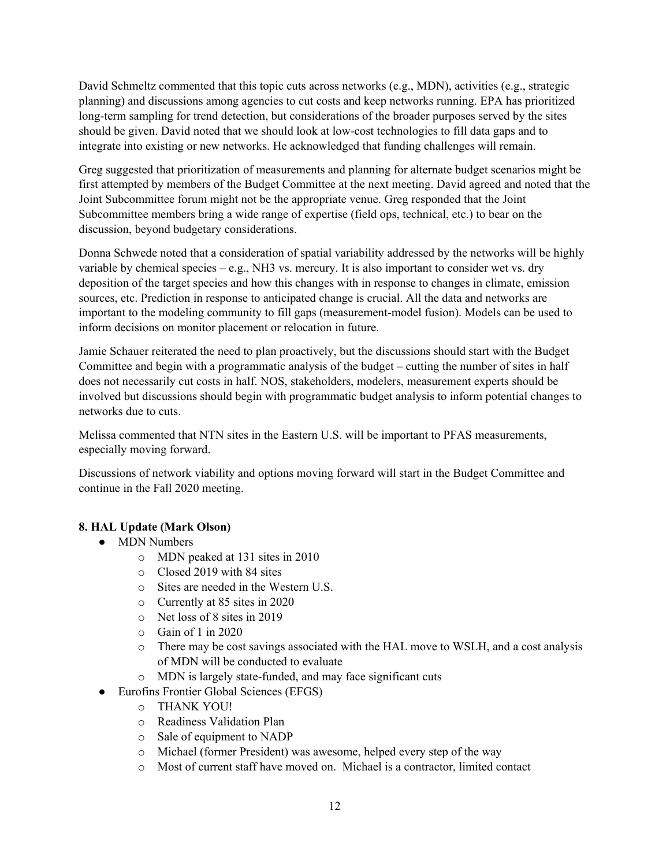David Schmeltz commented that this topic cuts across networks (e.g., MDN), activities (e.g., strategic planning) and discussions among agencies to cut costs and keep networks running. EPA has prioritized long-term sampling for trend detection, but considerations of the broader purposes served by the sites should be given. David noted that we should look at low-cost technologies to fill data gaps and to integrate into existing or new networks. He acknowledged that funding challenges will remain.

Greg suggested that prioritization of measurements and planning for alternate budget scenarios might be first attempted by members of the Budget Committee at the next meeting. David agreed and noted that the Joint Subcommittee forum might not be the appropriate venue. Greg responded that the Joint Subcommittee members bring a wide range of expertise (field ops, technical, etc.) to bear on the discussion, beyond budgetary considerations.

Donna Schwede noted that a consideration of spatial variability addressed by the networks will be highly variable by chemical species – e.g., NH3 vs. mercury. It is also important to consider wet vs. dry deposition of the target species and how this changes with in response to changes in climate, emission sources, etc. Prediction in response to anticipated change is crucial. All the data and networks are important to the modeling community to fill gaps (measurement-model fusion). Models can be used to inform decisions on monitor placement or relocation in future.

Jamie Schauer reiterated the need to plan proactively, but the discussions should start with the Budget Committee and begin with a programmatic analysis of the budget – cutting the number of sites in half does not necessarily cut costs in half. NOS, stakeholders, modelers, measurement experts should be involved but discussions should begin with programmatic budget analysis to inform potential changes to networks due to cuts.

Melissa commented that NTN sites in the Eastern U.S. will be important to PFAS measurements, especially moving forward.

Discussions of network viability and options moving forward will start in the Budget Committee and continue in the Fall 2020 meeting.

# **8. HAL Update (Mark Olson)**

- MDN Numbers
	- o MDN peaked at 131 sites in 2010
	- o Closed 2019 with 84 sites
	- o Sites are needed in the Western U.S.
	- o Currently at 85 sites in 2020
	- o Net loss of 8 sites in 2019
	- $\circ$  Gain of 1 in 2020
	- o There may be cost savings associated with the HAL move to WSLH, and a cost analysis of MDN will be conducted to evaluate
	- o MDN is largely state-funded, and may face significant cuts
- Eurofins Frontier Global Sciences (EFGS)
	- o THANK YOU!
	- o Readiness Validation Plan
	- o Sale of equipment to NADP
	- o Michael (former President) was awesome, helped every step of the way
	- o Most of current staff have moved on. Michael is a contractor, limited contact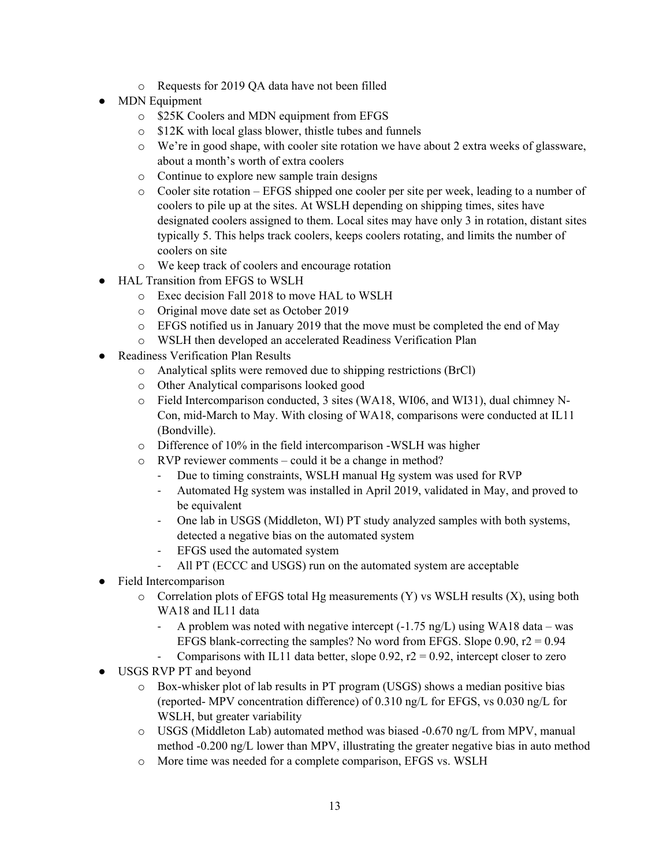- o Requests for 2019 QA data have not been filled
- MDN Equipment
	- o \$25K Coolers and MDN equipment from EFGS
	- o \$12K with local glass blower, thistle tubes and funnels
	- o We're in good shape, with cooler site rotation we have about 2 extra weeks of glassware, about a month's worth of extra coolers
	- o Continue to explore new sample train designs
	- o Cooler site rotation EFGS shipped one cooler per site per week, leading to a number of coolers to pile up at the sites. At WSLH depending on shipping times, sites have designated coolers assigned to them. Local sites may have only 3 in rotation, distant sites typically 5. This helps track coolers, keeps coolers rotating, and limits the number of coolers on site
	- o We keep track of coolers and encourage rotation
- **HAL Transition from EFGS to WSLH** 
	- o Exec decision Fall 2018 to move HAL to WSLH
	- o Original move date set as October 2019
	- o EFGS notified us in January 2019 that the move must be completed the end of May
	- o WSLH then developed an accelerated Readiness Verification Plan
- Readiness Verification Plan Results
	- o Analytical splits were removed due to shipping restrictions (BrCl)
	- o Other Analytical comparisons looked good
	- o Field Intercomparison conducted, 3 sites (WA18, WI06, and WI31), dual chimney N-Con, mid-March to May. With closing of WA18, comparisons were conducted at IL11 (Bondville).
	- o Difference of 10% in the field intercomparison -WSLH was higher
	- o RVP reviewer comments could it be a change in method?
		- Due to timing constraints, WSLH manual Hg system was used for RVP
		- Automated Hg system was installed in April 2019, validated in May, and proved to be equivalent
		- One lab in USGS (Middleton, WI) PT study analyzed samples with both systems, detected a negative bias on the automated system
		- EFGS used the automated system
		- All PT (ECCC and USGS) run on the automated system are acceptable
- **Field Intercomparison** 
	- o Correlation plots of EFGS total Hg measurements (Y) vs WSLH results (X), using both WA18 and IL11 data
		- A problem was noted with negative intercept  $(-1.75 \text{ ng/L})$  using WA18 data was EFGS blank-correcting the samples? No word from EFGS. Slope  $0.90$ ,  $r2 = 0.94$
		- Comparisons with IL11 data better, slope  $0.92$ ,  $r2 = 0.92$ , intercept closer to zero
- USGS RVP PT and beyond
	- o Box-whisker plot of lab results in PT program (USGS) shows a median positive bias (reported- MPV concentration difference) of 0.310 ng/L for EFGS, vs 0.030 ng/L for WSLH, but greater variability
	- $\circ$  USGS (Middleton Lab) automated method was biased -0.670 ng/L from MPV, manual method -0.200 ng/L lower than MPV, illustrating the greater negative bias in auto method
	- o More time was needed for a complete comparison, EFGS vs. WSLH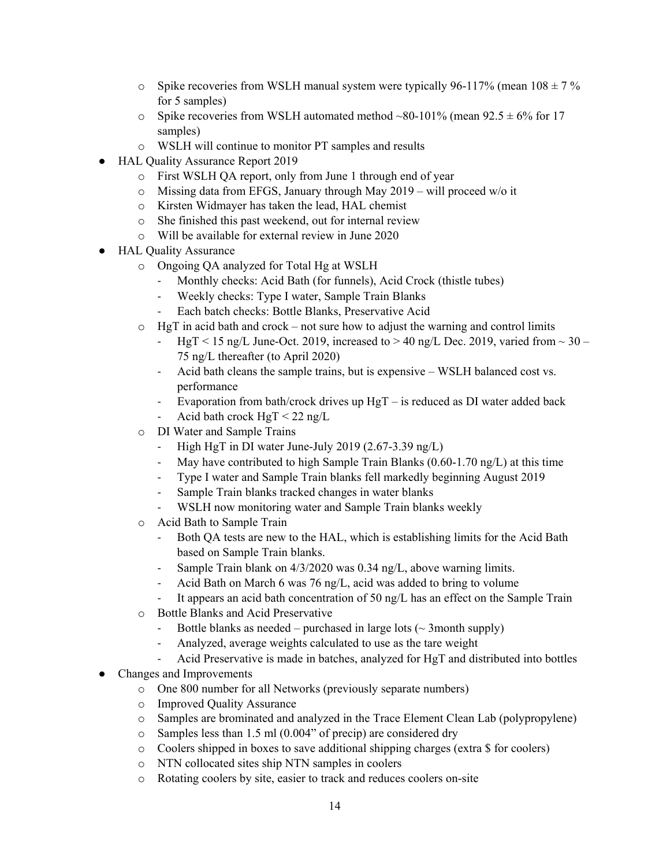- $\circ$  Spike recoveries from WSLH manual system were typically 96-117% (mean 108  $\pm$  7 %) for 5 samples)
- $\circ$  Spike recoveries from WSLH automated method ~80-101% (mean 92.5  $\pm$  6% for 17 samples)
- o WSLH will continue to monitor PT samples and results
- HAL Quality Assurance Report 2019
	- o First WSLH QA report, only from June 1 through end of year
	- o Missing data from EFGS, January through May 2019 will proceed w/o it
	- o Kirsten Widmayer has taken the lead, HAL chemist
	- o She finished this past weekend, out for internal review
	- o Will be available for external review in June 2020
- HAL Quality Assurance
	- o Ongoing QA analyzed for Total Hg at WSLH
		- Monthly checks: Acid Bath (for funnels), Acid Crock (thistle tubes)
		- Weekly checks: Type I water, Sample Train Blanks
		- Each batch checks: Bottle Blanks, Preservative Acid
	- $\circ$  HgT in acid bath and crock not sure how to adjust the warning and control limits
		- HgT < 15 ng/L June-Oct. 2019, increased to > 40 ng/L Dec. 2019, varied from  $\sim$  30 75 ng/L thereafter (to April 2020)
		- Acid bath cleans the sample trains, but is expensive WSLH balanced cost vs. performance
		- Evaporation from bath/crock drives up  $HgT -$  is reduced as DI water added back
		- Acid bath crock  $HgT < 22$  ng/L
	- o DI Water and Sample Trains
		- High HgT in DI water June-July 2019 (2.67-3.39 ng/L)
		- May have contributed to high Sample Train Blanks  $(0.60-1.70 \text{ ng/L})$  at this time
		- Type I water and Sample Train blanks fell markedly beginning August 2019
		- Sample Train blanks tracked changes in water blanks
		- WSLH now monitoring water and Sample Train blanks weekly
	- o Acid Bath to Sample Train
		- Both QA tests are new to the HAL, which is establishing limits for the Acid Bath based on Sample Train blanks.
		- Sample Train blank on  $4/3/2020$  was 0.34 ng/L, above warning limits.
		- Acid Bath on March 6 was 76 ng/L, acid was added to bring to volume
		- It appears an acid bath concentration of 50 ng/L has an effect on the Sample Train
	- o Bottle Blanks and Acid Preservative
		- Bottle blanks as needed purchased in large lots  $(\sim 3$ month supply)
		- Analyzed, average weights calculated to use as the tare weight
		- Acid Preservative is made in batches, analyzed for HgT and distributed into bottles
- Changes and Improvements
	- o One 800 number for all Networks (previously separate numbers)
	- o Improved Quality Assurance
	- o Samples are brominated and analyzed in the Trace Element Clean Lab (polypropylene)
	- o Samples less than 1.5 ml (0.004" of precip) are considered dry
	- $\circ$  Coolers shipped in boxes to save additional shipping charges (extra \$ for coolers)
	- o NTN collocated sites ship NTN samples in coolers
	- o Rotating coolers by site, easier to track and reduces coolers on-site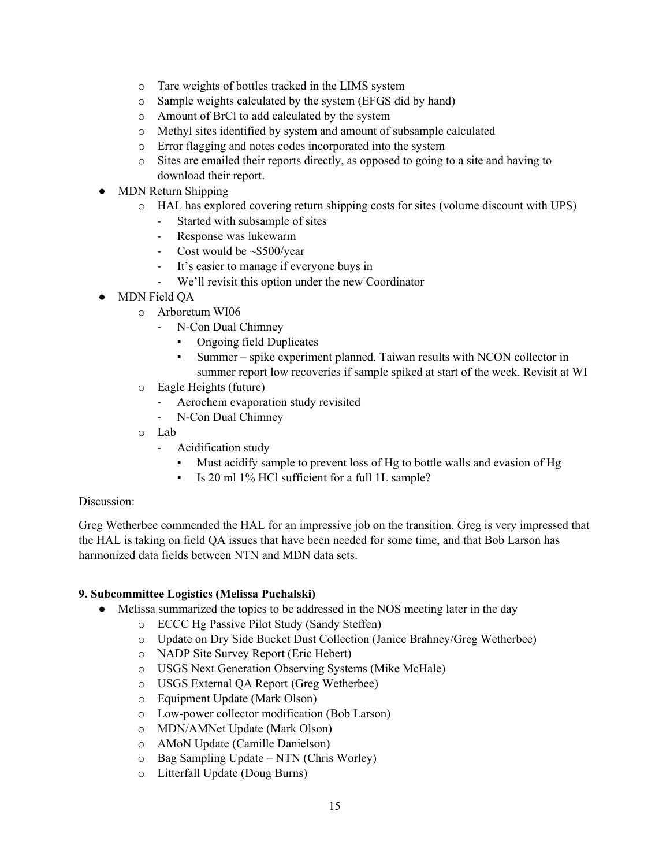- o Tare weights of bottles tracked in the LIMS system
- o Sample weights calculated by the system (EFGS did by hand)
- o Amount of BrCl to add calculated by the system
- o Methyl sites identified by system and amount of subsample calculated
- o Error flagging and notes codes incorporated into the system
- o Sites are emailed their reports directly, as opposed to going to a site and having to download their report.
- MDN Return Shipping
	- o HAL has explored covering return shipping costs for sites (volume discount with UPS)
		- Started with subsample of sites
		- Response was lukewarm
		- Cost would be  $\sim$ \$500/year
		- It's easier to manage if everyone buys in
		- We'll revisit this option under the new Coordinator
- MDN Field QA
	- o Arboretum WI06
		- N-Con Dual Chimney
			- Ongoing field Duplicates
			- Summer spike experiment planned. Taiwan results with NCON collector in summer report low recoveries if sample spiked at start of the week. Revisit at WI
	- o Eagle Heights (future)
		- Aerochem evaporation study revisited
		- N-Con Dual Chimney
	- o Lab
		- Acidification study
			- Must acidify sample to prevent loss of Hg to bottle walls and evasion of Hg
			- Is 20 ml 1% HCl sufficient for a full 1L sample?

Greg Wetherbee commended the HAL for an impressive job on the transition. Greg is very impressed that the HAL is taking on field QA issues that have been needed for some time, and that Bob Larson has harmonized data fields between NTN and MDN data sets.

## **9. Subcommittee Logistics (Melissa Puchalski)**

- Melissa summarized the topics to be addressed in the NOS meeting later in the day
	- o ECCC Hg Passive Pilot Study (Sandy Steffen)
	- o Update on Dry Side Bucket Dust Collection (Janice Brahney/Greg Wetherbee)
	- o NADP Site Survey Report (Eric Hebert)
	- o USGS Next Generation Observing Systems (Mike McHale)
	- o USGS External QA Report (Greg Wetherbee)
	- o Equipment Update (Mark Olson)
	- o Low-power collector modification (Bob Larson)
	- o MDN/AMNet Update (Mark Olson)
	- o AMoN Update (Camille Danielson)
	- o Bag Sampling Update NTN (Chris Worley)
	- o Litterfall Update (Doug Burns)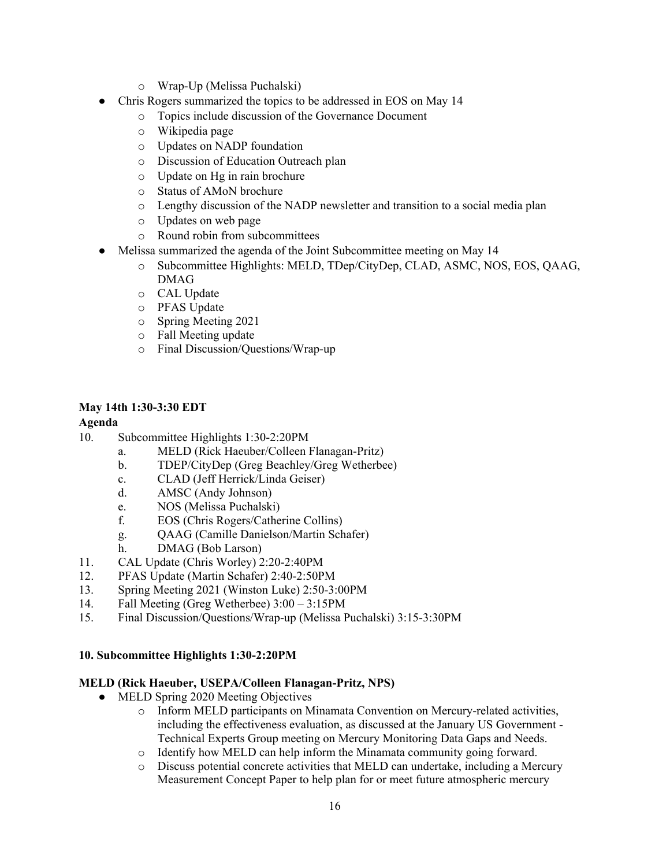- o Wrap-Up (Melissa Puchalski)
- Chris Rogers summarized the topics to be addressed in EOS on May 14
	- o Topics include discussion of the Governance Document
	- o Wikipedia page
	- o Updates on NADP foundation
	- o Discussion of Education Outreach plan
	- o Update on Hg in rain brochure
	- o Status of AMoN brochure
	- o Lengthy discussion of the NADP newsletter and transition to a social media plan
	- o Updates on web page
	- o Round robin from subcommittees
- Melissa summarized the agenda of the Joint Subcommittee meeting on May 14
	- o Subcommittee Highlights: MELD, TDep/CityDep, CLAD, ASMC, NOS, EOS, QAAG, DMAG
	- o CAL Update
	- o PFAS Update
	- o Spring Meeting 2021
	- o Fall Meeting update
	- o Final Discussion/Questions/Wrap-up

# **May 14th 1:30-3:30 EDT**

## **Agenda**

- 10. Subcommittee Highlights 1:30-2:20PM
	- a. MELD (Rick Haeuber/Colleen Flanagan-Pritz)
	- b. TDEP/CityDep (Greg Beachley/Greg Wetherbee)
	- c. CLAD (Jeff Herrick/Linda Geiser)<br>d. AMSC (Andy Johnson)
	- d. AMSC (Andy Johnson)
	- e. NOS (Melissa Puchalski)
	- f. EOS (Chris Rogers/Catherine Collins)
	- g. QAAG (Camille Danielson/Martin Schafer)
	- h. DMAG (Bob Larson)
- 11. CAL Update (Chris Worley) 2:20-2:40PM
- 12. PFAS Update (Martin Schafer) 2:40-2:50PM
- 13. Spring Meeting 2021 (Winston Luke) 2:50-3:00PM
- 14. Fall Meeting (Greg Wetherbee) 3:00 3:15PM
- 15. Final Discussion/Questions/Wrap-up (Melissa Puchalski) 3:15-3:30PM

# **10. Subcommittee Highlights 1:30-2:20PM**

## **MELD (Rick Haeuber, USEPA/Colleen Flanagan-Pritz, NPS)**

- MELD Spring 2020 Meeting Objectives
	- o Inform MELD participants on Minamata Convention on Mercury-related activities, including the effectiveness evaluation, as discussed at the January US Government - Technical Experts Group meeting on Mercury Monitoring Data Gaps and Needs.
	- o Identify how MELD can help inform the Minamata community going forward.
	- o Discuss potential concrete activities that MELD can undertake, including a Mercury Measurement Concept Paper to help plan for or meet future atmospheric mercury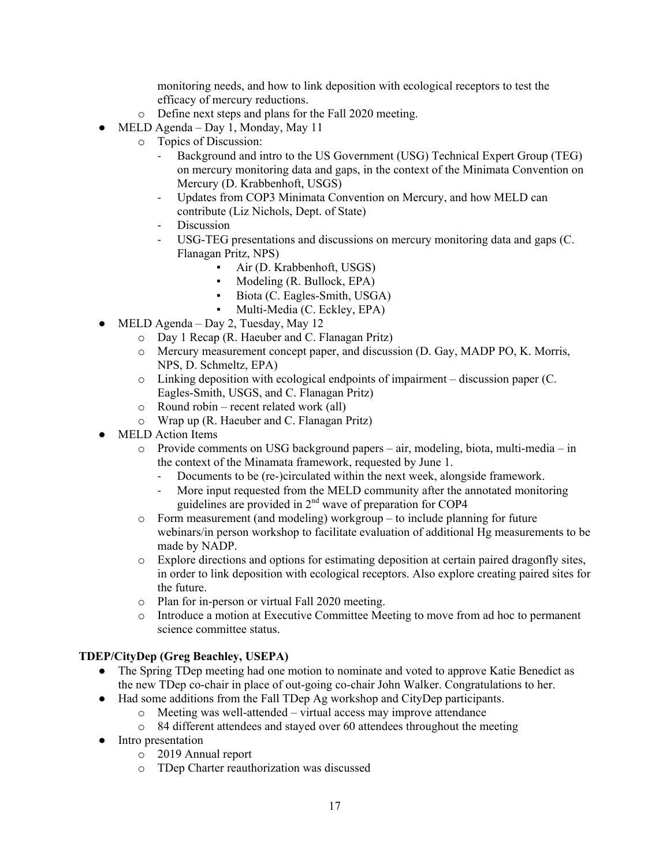monitoring needs, and how to link deposition with ecological receptors to test the efficacy of mercury reductions.

- o Define next steps and plans for the Fall 2020 meeting.
- MELD Agenda Day 1, Monday, May 11
	- o Topics of Discussion:
		- Background and intro to the US Government (USG) Technical Expert Group (TEG) on mercury monitoring data and gaps, in the context of the Minimata Convention on Mercury (D. Krabbenhoft, USGS)
		- Updates from COP3 Minimata Convention on Mercury, and how MELD can contribute (Liz Nichols, Dept. of State)
		- Discussion
		- USG-TEG presentations and discussions on mercury monitoring data and gaps (C. Flanagan Pritz, NPS)
			- Air (D. Krabbenhoft, USGS)
			- Modeling (R. Bullock, EPA)
			- Biota (C. Eagles-Smith, USGA)
			- Multi-Media (C. Eckley, EPA)
- MELD Agenda Day 2, Tuesday, May 12
	- o Day 1 Recap (R. Haeuber and C. Flanagan Pritz)
	- o Mercury measurement concept paper, and discussion (D. Gay, MADP PO, K. Morris, NPS, D. Schmeltz, EPA)
	- o Linking deposition with ecological endpoints of impairment discussion paper (C. Eagles-Smith, USGS, and C. Flanagan Pritz)
	- o Round robin recent related work (all)
	- o Wrap up (R. Haeuber and C. Flanagan Pritz)
- MELD Action Items
	- o Provide comments on USG background papers air, modeling, biota, multi-media in the context of the Minamata framework, requested by June 1.
		- Documents to be (re-)circulated within the next week, alongside framework.
		- More input requested from the MELD community after the annotated monitoring guidelines are provided in 2nd wave of preparation for COP4
	- o Form measurement (and modeling) workgroup to include planning for future webinars/in person workshop to facilitate evaluation of additional Hg measurements to be made by NADP.
	- o Explore directions and options for estimating deposition at certain paired dragonfly sites, in order to link deposition with ecological receptors. Also explore creating paired sites for the future.
	- o Plan for in-person or virtual Fall 2020 meeting.
	- o Introduce a motion at Executive Committee Meeting to move from ad hoc to permanent science committee status.

# **TDEP/CityDep (Greg Beachley, USEPA)**

- The Spring TDep meeting had one motion to nominate and voted to approve Katie Benedict as the new TDep co-chair in place of out-going co-chair John Walker. Congratulations to her.
- Had some additions from the Fall TDep Ag workshop and CityDep participants.
	- o Meeting was well-attended virtual access may improve attendance
	- o 84 different attendees and stayed over 60 attendees throughout the meeting
- Intro presentation
	- o 2019 Annual report
	- o TDep Charter reauthorization was discussed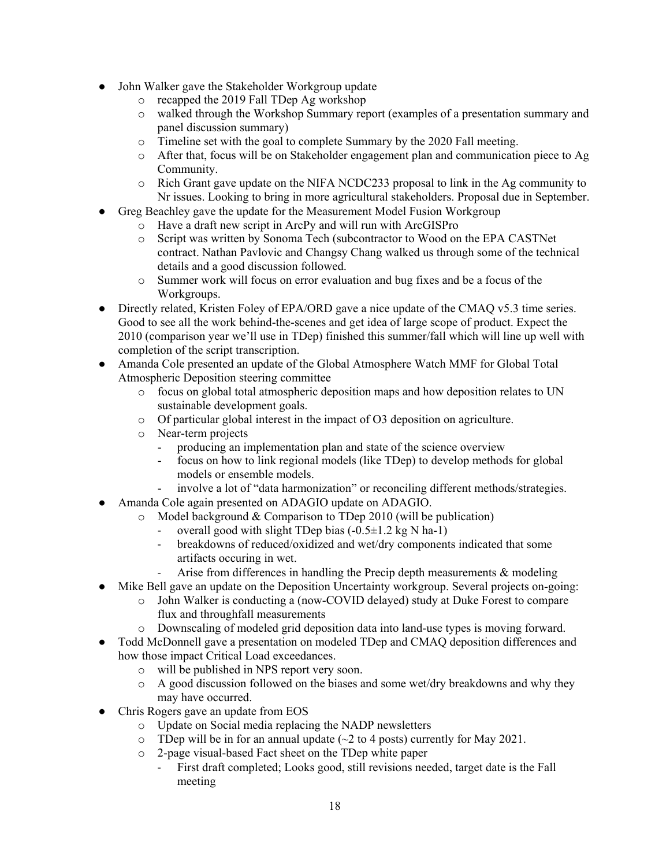- John Walker gave the Stakeholder Workgroup update
	- o recapped the 2019 Fall TDep Ag workshop
	- o walked through the Workshop Summary report (examples of a presentation summary and panel discussion summary)
	- o Timeline set with the goal to complete Summary by the 2020 Fall meeting.
	- o After that, focus will be on Stakeholder engagement plan and communication piece to Ag Community.
	- o Rich Grant gave update on the NIFA NCDC233 proposal to link in the Ag community to Nr issues. Looking to bring in more agricultural stakeholders. Proposal due in September.
	- Greg Beachley gave the update for the Measurement Model Fusion Workgroup
		- o Have a draft new script in ArcPy and will run with ArcGISPro
		- o Script was written by Sonoma Tech (subcontractor to Wood on the EPA CASTNet contract. Nathan Pavlovic and Changsy Chang walked us through some of the technical details and a good discussion followed.
		- o Summer work will focus on error evaluation and bug fixes and be a focus of the Workgroups.
- Directly related, Kristen Foley of EPA/ORD gave a nice update of the CMAQ v5.3 time series. Good to see all the work behind-the-scenes and get idea of large scope of product. Expect the 2010 (comparison year we'll use in TDep) finished this summer/fall which will line up well with completion of the script transcription.
- Amanda Cole presented an update of the Global Atmosphere Watch MMF for Global Total Atmospheric Deposition steering committee
	- o focus on global total atmospheric deposition maps and how deposition relates to UN sustainable development goals.
	- o Of particular global interest in the impact of O3 deposition on agriculture.
	- o Near-term projects
		- producing an implementation plan and state of the science overview
		- focus on how to link regional models (like TDep) to develop methods for global models or ensemble models.
		- involve a lot of "data harmonization" or reconciling different methods/strategies.
- Amanda Cole again presented on ADAGIO update on ADAGIO.
	- o Model background & Comparison to TDep 2010 (will be publication)
		- overall good with slight TDep bias  $(-0.5\pm1.2 \text{ kg N} \text{ ha-1})$ 
			- breakdowns of reduced/oxidized and wet/dry components indicated that some artifacts occuring in wet.
	- Arise from differences in handling the Precip depth measurements  $\&$  modeling
- Mike Bell gave an update on the Deposition Uncertainty workgroup. Several projects on-going:
	- o John Walker is conducting a (now-COVID delayed) study at Duke Forest to compare flux and throughfall measurements
	- o Downscaling of modeled grid deposition data into land-use types is moving forward.
- Todd McDonnell gave a presentation on modeled TDep and CMAQ deposition differences and how those impact Critical Load exceedances.
	- o will be published in NPS report very soon.
	- $\circ$  A good discussion followed on the biases and some wet/dry breakdowns and why they may have occurred.
- Chris Rogers gave an update from EOS
	- o Update on Social media replacing the NADP newsletters
	- $\circ$  TDep will be in for an annual update ( $\sim$ 2 to 4 posts) currently for May 2021.
	- o 2-page visual-based Fact sheet on the TDep white paper
		- First draft completed; Looks good, still revisions needed, target date is the Fall meeting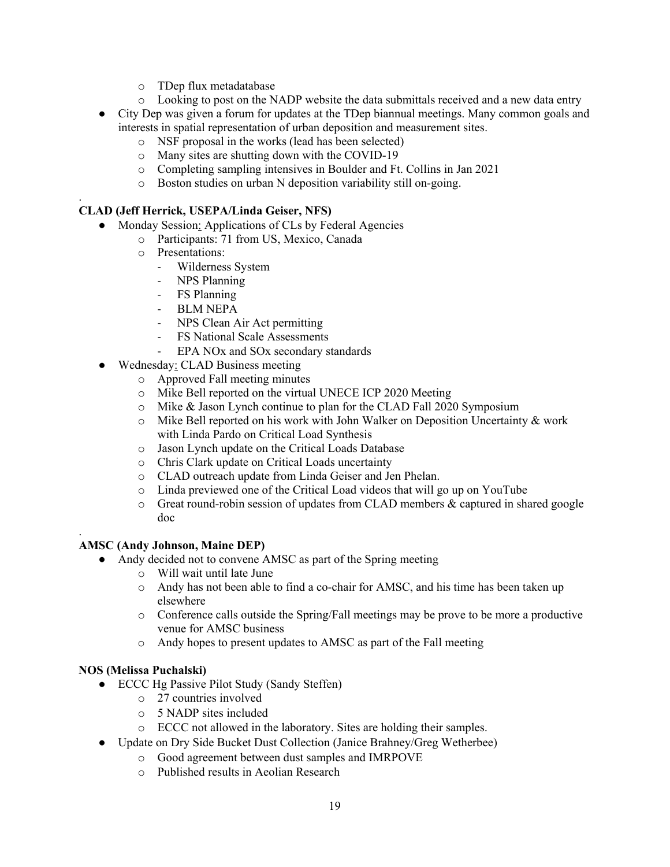- o TDep flux metadatabase
- o Looking to post on the NADP website the data submittals received and a new data entry
- City Dep was given a forum for updates at the TDep biannual meetings. Many common goals and interests in spatial representation of urban deposition and measurement sites.
	- o NSF proposal in the works (lead has been selected)
	- o Many sites are shutting down with the COVID-19
	- o Completing sampling intensives in Boulder and Ft. Collins in Jan 2021
	- o Boston studies on urban N deposition variability still on-going.

## **CLAD (Jeff Herrick, USEPA/Linda Geiser, NFS)**

- Monday Session: Applications of CLs by Federal Agencies
	- o Participants: 71 from US, Mexico, Canada
	- o Presentations:

.

.

- Wilderness System
- NPS Planning
- FS Planning
- BLM NEPA
- NPS Clean Air Act permitting
- FS National Scale Assessments
- EPA NO<sub>x</sub> and SO<sub>x</sub> secondary standards
- Wednesday: CLAD Business meeting
	- o Approved Fall meeting minutes
	- o Mike Bell reported on the virtual UNECE ICP 2020 Meeting
	- o Mike & Jason Lynch continue to plan for the CLAD Fall 2020 Symposium
	- $\circ$  Mike Bell reported on his work with John Walker on Deposition Uncertainty & work with Linda Pardo on Critical Load Synthesis
	- o Jason Lynch update on the Critical Loads Database
	- o Chris Clark update on Critical Loads uncertainty
	- o CLAD outreach update from Linda Geiser and Jen Phelan.
	- o Linda previewed one of the Critical Load videos that will go up on YouTube
	- o Great round-robin session of updates from CLAD members & captured in shared google doc

## **AMSC (Andy Johnson, Maine DEP)**

- Andy decided not to convene AMSC as part of the Spring meeting
	- o Will wait until late June
	- o Andy has not been able to find a co-chair for AMSC, and his time has been taken up elsewhere
	- o Conference calls outside the Spring/Fall meetings may be prove to be more a productive venue for AMSC business
	- o Andy hopes to present updates to AMSC as part of the Fall meeting

## **NOS (Melissa Puchalski)**

- ECCC Hg Passive Pilot Study (Sandy Steffen)
	- o 27 countries involved
	- o 5 NADP sites included
	- o ECCC not allowed in the laboratory. Sites are holding their samples.
- Update on Dry Side Bucket Dust Collection (Janice Brahney/Greg Wetherbee)
	- o Good agreement between dust samples and IMRPOVE
	- o Published results in Aeolian Research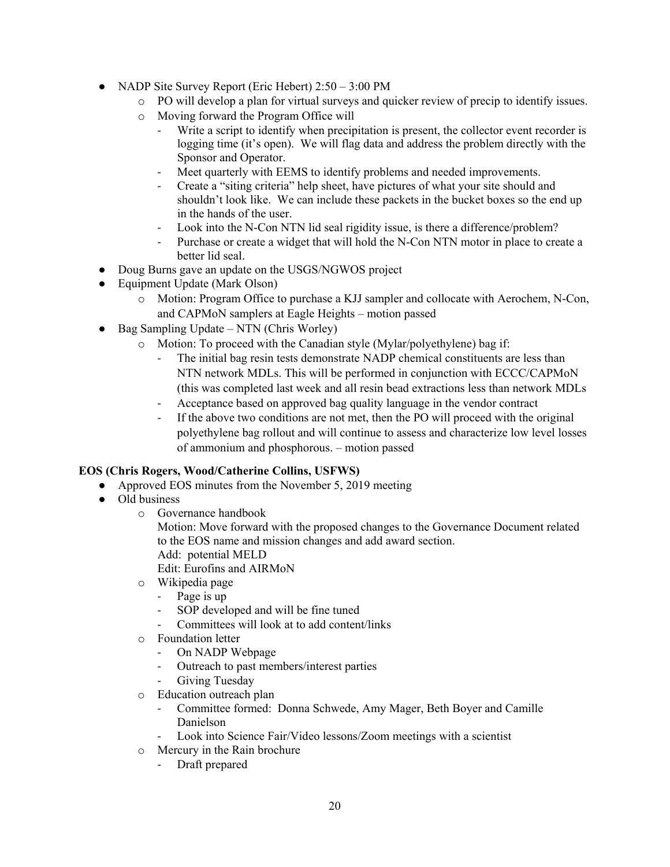- NADP Site Survey Report (Eric Hebert) 2:50 3:00 PM
	- o PO will develop a plan for virtual surveys and quicker review of precip to identify issues.
	- o Moving forward the Program Office will
		- Write a script to identify when precipitation is present, the collector event recorder is logging time (it's open). We will flag data and address the problem directly with the Sponsor and Operator.
		- Meet quarterly with EEMS to identify problems and needed improvements.
		- Create a "siting criteria" help sheet, have pictures of what your site should and shouldn't look like. We can include these packets in the bucket boxes so the end up in the hands of the user.
		- Look into the N-Con NTN lid seal rigidity issue, is there a difference/problem?
		- Purchase or create a widget that will hold the N-Con NTN motor in place to create a better lid seal.
- Doug Burns gave an update on the USGS/NGWOS project
- Equipment Update (Mark Olson)
	- o Motion: Program Office to purchase a KJJ sampler and collocate with Aerochem, N-Con, and CAPMoN samplers at Eagle Heights – motion passed
- $\bullet$  Bag Sampling Update NTN (Chris Worley)
	- o Motion: To proceed with the Canadian style (Mylar/polyethylene) bag if:
		- The initial bag resin tests demonstrate NADP chemical constituents are less than NTN network MDLs. This will be performed in conjunction with ECCC/CAPMoN (this was completed last week and all resin bead extractions less than network MDLs
		- Acceptance based on approved bag quality language in the vendor contract
		- If the above two conditions are not met, then the PO will proceed with the original polyethylene bag rollout and will continue to assess and characterize low level losses of ammonium and phosphorous. – motion passed

## **EOS (Chris Rogers, Wood/Catherine Collins, USFWS)**

- Approved EOS minutes from the November 5, 2019 meeting
- Old business
	- o Governance handbook

Motion: Move forward with the proposed changes to the Governance Document related to the EOS name and mission changes and add award section.

Add: potential MELD

Edit: Eurofins and AIRMoN

- o Wikipedia page
	- Page is up
	- SOP developed and will be fine tuned
	- Committees will look at to add content/links
- o Foundation letter
	- On NADP Webpage
	- Outreach to past members/interest parties
	- Giving Tuesday
- o Education outreach plan
	- Committee formed: Donna Schwede, Amy Mager, Beth Boyer and Camille Danielson
	- Look into Science Fair/Video lessons/Zoom meetings with a scientist
- o Mercury in the Rain brochure
	- Draft prepared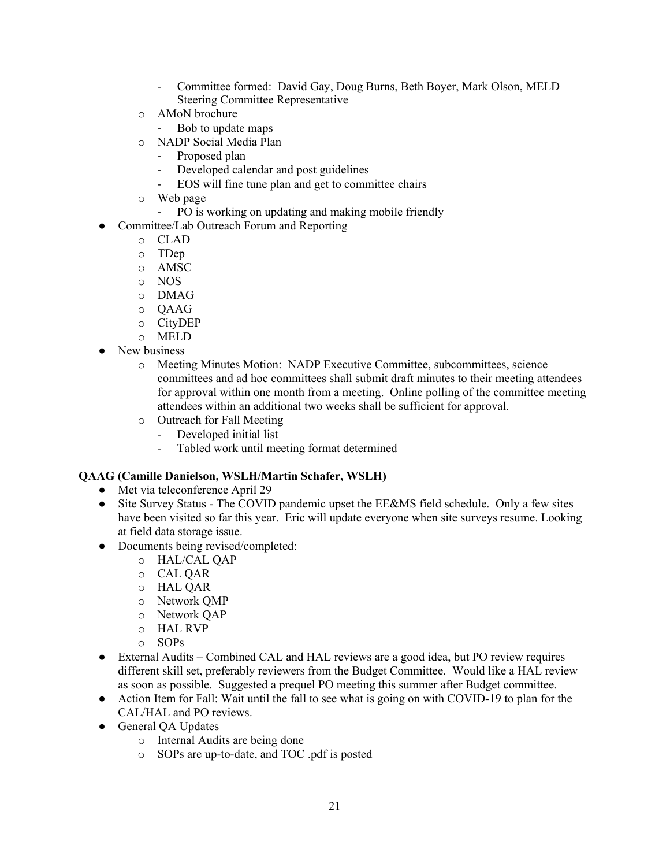- Committee formed: David Gay, Doug Burns, Beth Boyer, Mark Olson, MELD Steering Committee Representative
- o AMoN brochure
	- Bob to update maps
- o NADP Social Media Plan
	- Proposed plan
	- Developed calendar and post guidelines
	- EOS will fine tune plan and get to committee chairs
- o Web page
	- PO is working on updating and making mobile friendly
- Committee/Lab Outreach Forum and Reporting
	- o CLAD
	- o TDep
	- o AMSC
	- o NOS
	- o DMAG
	- o QAAG
	- o CityDEP
	- o MELD
	- New business
		- o Meeting Minutes Motion: NADP Executive Committee, subcommittees, science committees and ad hoc committees shall submit draft minutes to their meeting attendees for approval within one month from a meeting. Online polling of the committee meeting attendees within an additional two weeks shall be sufficient for approval.
		- o Outreach for Fall Meeting
			- Developed initial list
			- Tabled work until meeting format determined

# **QAAG (Camille Danielson, WSLH/Martin Schafer, WSLH)**

- Met via teleconference April 29
- Site Survey Status The COVID pandemic upset the EE&MS field schedule. Only a few sites have been visited so far this year. Eric will update everyone when site surveys resume. Looking at field data storage issue.
- Documents being revised/completed:
	- o HAL/CAL QAP
	- o CAL QAR
	- o HAL QAR
	- o Network QMP
	- o Network QAP
	- o HAL RVP
	- o SOPs
- External Audits Combined CAL and HAL reviews are a good idea, but PO review requires different skill set, preferably reviewers from the Budget Committee. Would like a HAL review as soon as possible. Suggested a prequel PO meeting this summer after Budget committee.
- Action Item for Fall: Wait until the fall to see what is going on with COVID-19 to plan for the CAL/HAL and PO reviews.
- General QA Updates
	- o Internal Audits are being done
	- o SOPs are up-to-date, and TOC .pdf is posted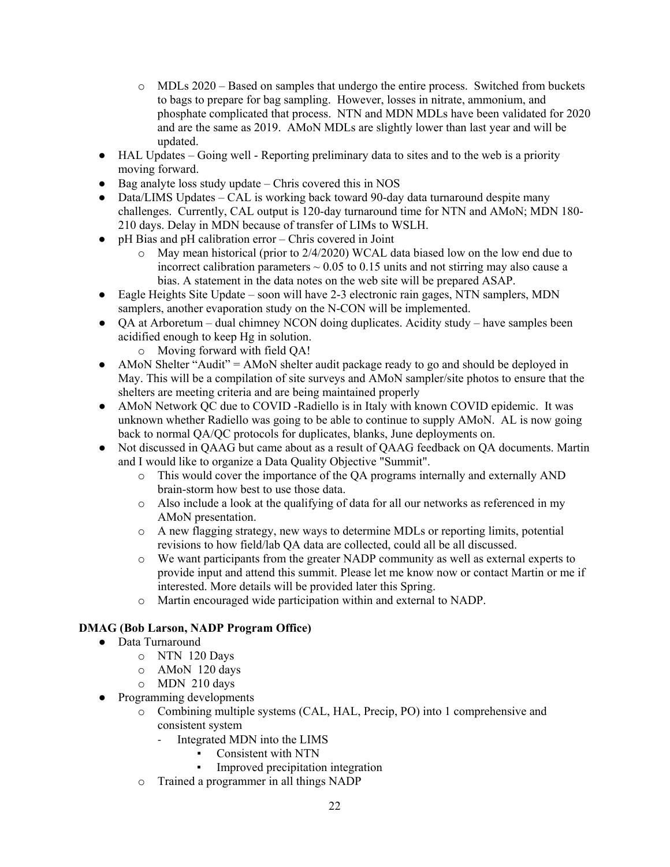- $\circ$  MDLs 2020 Based on samples that undergo the entire process. Switched from buckets to bags to prepare for bag sampling. However, losses in nitrate, ammonium, and phosphate complicated that process. NTN and MDN MDLs have been validated for 2020 and are the same as 2019. AMoN MDLs are slightly lower than last year and will be updated.
- HAL Updates Going well Reporting preliminary data to sites and to the web is a priority moving forward.
- $\bullet$  Bag analyte loss study update Chris covered this in NOS
- Data/LIMS Updates CAL is working back toward 90-day data turnaround despite many challenges. Currently, CAL output is 120-day turnaround time for NTN and AMoN; MDN 180- 210 days. Delay in MDN because of transfer of LIMs to WSLH.
- pH Bias and pH calibration error Chris covered in Joint
	- o May mean historical (prior to 2/4/2020) WCAL data biased low on the low end due to incorrect calibration parameters  $\sim 0.05$  to 0.15 units and not stirring may also cause a bias. A statement in the data notes on the web site will be prepared ASAP.
- Eagle Heights Site Update soon will have 2-3 electronic rain gages, NTN samplers, MDN samplers, another evaporation study on the N-CON will be implemented.
- QA at Arboretum dual chimney NCON doing duplicates. Acidity study have samples been acidified enough to keep Hg in solution.
	- o Moving forward with field QA!
- AMoN Shelter "Audit" = AMoN shelter audit package ready to go and should be deployed in May. This will be a compilation of site surveys and AMoN sampler/site photos to ensure that the shelters are meeting criteria and are being maintained properly
- AMoN Network QC due to COVID -Radiello is in Italy with known COVID epidemic. It was unknown whether Radiello was going to be able to continue to supply AMoN. AL is now going back to normal QA/QC protocols for duplicates, blanks, June deployments on.
- Not discussed in QAAG but came about as a result of QAAG feedback on QA documents. Martin and I would like to organize a Data Quality Objective "Summit".
	- o This would cover the importance of the QA programs internally and externally AND brain-storm how best to use those data.
	- $\circ$  Also include a look at the qualifying of data for all our networks as referenced in my AMoN presentation.
	- o A new flagging strategy, new ways to determine MDLs or reporting limits, potential revisions to how field/lab QA data are collected, could all be all discussed.
	- o We want participants from the greater NADP community as well as external experts to provide input and attend this summit. Please let me know now or contact Martin or me if interested. More details will be provided later this Spring.
	- o Martin encouraged wide participation within and external to NADP.

# **DMAG (Bob Larson, NADP Program Office)**

- Data Turnaround
	- o NTN 120 Days
	- o AMoN 120 days
	- o MDN 210 days
- Programming developments
	- o Combining multiple systems (CAL, HAL, Precip, PO) into 1 comprehensive and consistent system
		- Integrated MDN into the LIMS
			- Consistent with NTN
			- **•** Improved precipitation integration
	- o Trained a programmer in all things NADP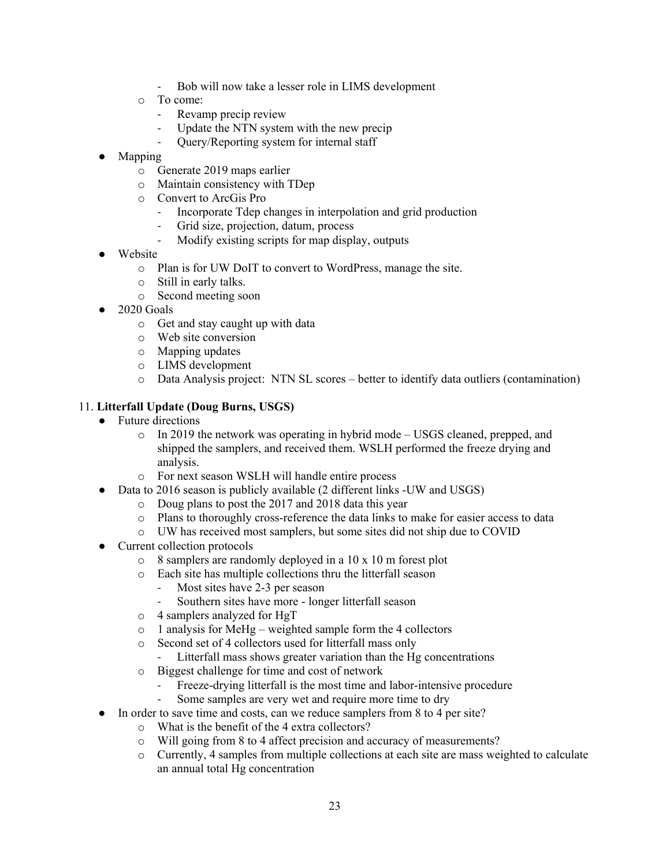- Bob will now take a lesser role in LIMS development
- o To come:
	- Revamp precip review
	- Update the NTN system with the new precip
	- Query/Reporting system for internal staff
- Mapping
	- o Generate 2019 maps earlier
	- o Maintain consistency with TDep
	- o Convert to ArcGis Pro
		- Incorporate Tdep changes in interpolation and grid production
		- Grid size, projection, datum, process
		- Modify existing scripts for map display, outputs
- Website
	- o Plan is for UW DoIT to convert to WordPress, manage the site.
	- Still in early talks.
	- o Second meeting soon
- 2020 Goals
	- o Get and stay caught up with data
	- o Web site conversion
	- o Mapping updates
	- o LIMS development
	- o Data Analysis project: NTN SL scores better to identify data outliers (contamination)

# 11. **Litterfall Update (Doug Burns, USGS)**

- Future directions
	- o In 2019 the network was operating in hybrid mode USGS cleaned, prepped, and shipped the samplers, and received them. WSLH performed the freeze drying and analysis.
	- o For next season WSLH will handle entire process
- Data to 2016 season is publicly available (2 different links -UW and USGS)
	- o Doug plans to post the 2017 and 2018 data this year
	- o Plans to thoroughly cross-reference the data links to make for easier access to data
	- o UW has received most samplers, but some sites did not ship due to COVID
- Current collection protocols
	- o 8 samplers are randomly deployed in a 10 x 10 m forest plot
	- o Each site has multiple collections thru the litterfall season
		- Most sites have 2-3 per season
		- Southern sites have more longer litterfall season
	- o 4 samplers analyzed for HgT
	- o 1 analysis for MeHg weighted sample form the 4 collectors
	- o Second set of 4 collectors used for litterfall mass only
		- Litterfall mass shows greater variation than the Hg concentrations
	- o Biggest challenge for time and cost of network
		- Freeze-drying litterfall is the most time and labor-intensive procedure
		- Some samples are very wet and require more time to dry
- In order to save time and costs, can we reduce samplers from 8 to 4 per site?
	- o What is the benefit of the 4 extra collectors?
	- o Will going from 8 to 4 affect precision and accuracy of measurements?
	- o Currently, 4 samples from multiple collections at each site are mass weighted to calculate an annual total Hg concentration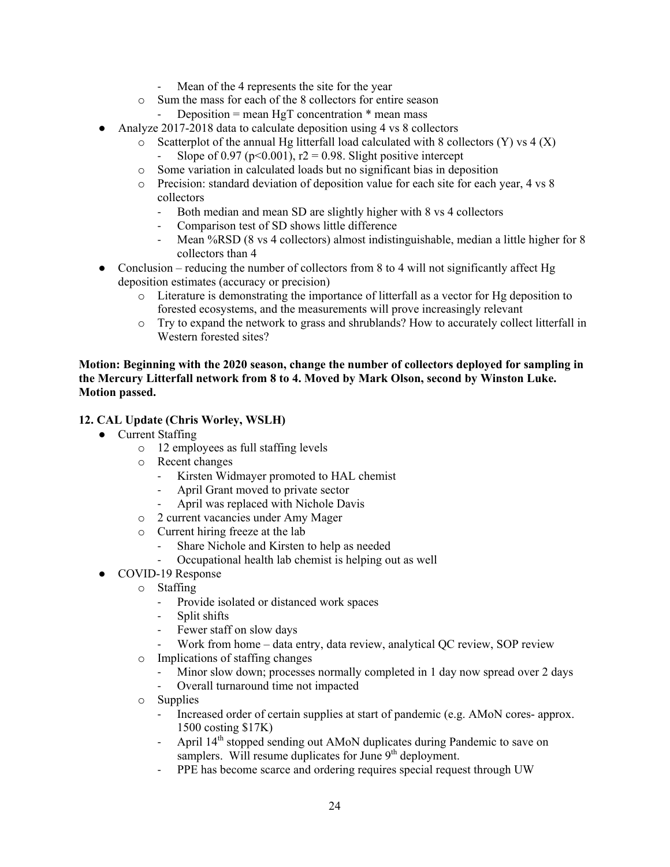- Mean of the 4 represents the site for the year
- o Sum the mass for each of the 8 collectors for entire season
	- Deposition = mean  $HgT$  concentration  $*$  mean mass
- Analyze 2017-2018 data to calculate deposition using 4 vs 8 collectors
	- $\circ$  Scatterplot of the annual Hg litterfall load calculated with 8 collectors (Y) vs 4 (X) Slope of 0.97 ( $p<0.001$ ),  $r2 = 0.98$ . Slight positive intercept
	- o Some variation in calculated loads but no significant bias in deposition
	- o Precision: standard deviation of deposition value for each site for each year, 4 vs 8 collectors
		- Both median and mean SD are slightly higher with 8 vs 4 collectors
		- Comparison test of SD shows little difference
		- Mean %RSD (8 vs 4 collectors) almost indistinguishable, median a little higher for 8 collectors than 4
- Conclusion reducing the number of collectors from 8 to 4 will not significantly affect  $Hg$ deposition estimates (accuracy or precision)
	- o Literature is demonstrating the importance of litterfall as a vector for Hg deposition to forested ecosystems, and the measurements will prove increasingly relevant
	- o Try to expand the network to grass and shrublands? How to accurately collect litterfall in Western forested sites?

## **Motion: Beginning with the 2020 season, change the number of collectors deployed for sampling in the Mercury Litterfall network from 8 to 4. Moved by Mark Olson, second by Winston Luke. Motion passed.**

## **12. CAL Update (Chris Worley, WSLH)**

- Current Staffing
	- o 12 employees as full staffing levels
	- o Recent changes
		- Kirsten Widmayer promoted to HAL chemist
		- April Grant moved to private sector
		- April was replaced with Nichole Davis
	- o 2 current vacancies under Amy Mager
	- o Current hiring freeze at the lab
		- Share Nichole and Kirsten to help as needed
		- Occupational health lab chemist is helping out as well
- COVID-19 Response
	- o Staffing
		- Provide isolated or distanced work spaces
		- Split shifts
		- Fewer staff on slow days
		- Work from home data entry, data review, analytical QC review, SOP review
	- o Implications of staffing changes
		- Minor slow down; processes normally completed in 1 day now spread over 2 days
		- Overall turnaround time not impacted
	- o Supplies
		- Increased order of certain supplies at start of pandemic (e.g. AMoN cores- approx. 1500 costing \$17K)
		- April 14<sup>th</sup> stopped sending out AMoN duplicates during Pandemic to save on samplers. Will resume duplicates for June 9<sup>th</sup> deployment.
		- PPE has become scarce and ordering requires special request through UW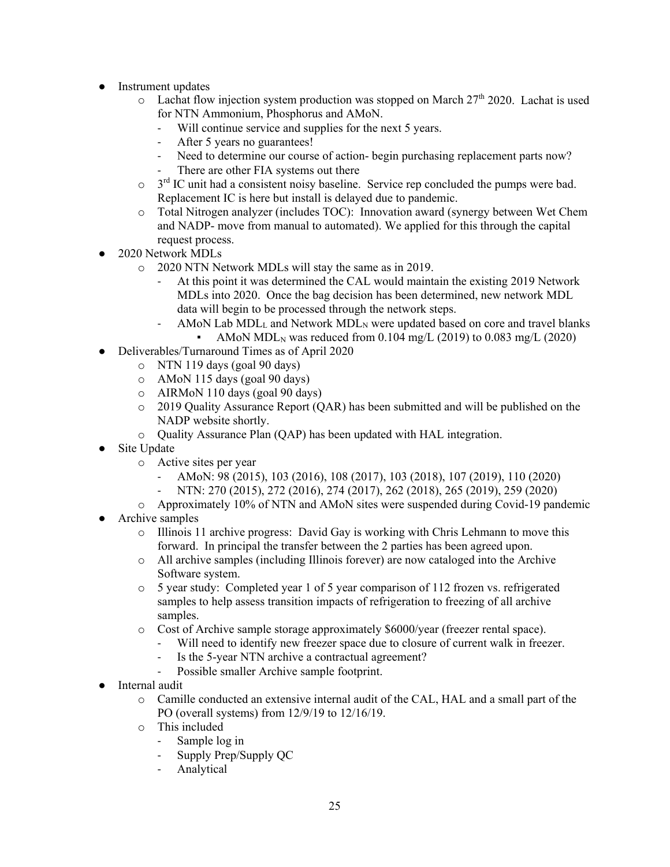- Instrument updates
	- $\circ$  Lachat flow injection system production was stopped on March 27<sup>th</sup> 2020. Lachat is used for NTN Ammonium, Phosphorus and AMoN.
		- Will continue service and supplies for the next 5 years.
		- After 5 years no guarantees!
		- Need to determine our course of action- begin purchasing replacement parts now?
		- There are other FIA systems out there
	- $\circ$  3<sup>rd</sup> IC unit had a consistent noisy baseline. Service rep concluded the pumps were bad. Replacement IC is here but install is delayed due to pandemic.
	- o Total Nitrogen analyzer (includes TOC): Innovation award (synergy between Wet Chem and NADP- move from manual to automated). We applied for this through the capital request process.
- 2020 Network MDLs
	- o 2020 NTN Network MDLs will stay the same as in 2019.
		- At this point it was determined the CAL would maintain the existing 2019 Network MDLs into 2020. Once the bag decision has been determined, new network MDL data will begin to be processed through the network steps.
			- AMoN Lab  $MDL<sub>L</sub>$  and Network  $MDL<sub>N</sub>$  were updated based on core and travel blanks
			- AMoN MDL<sub>N</sub> was reduced from 0.104 mg/L (2019) to 0.083 mg/L (2020)
- Deliverables/Turnaround Times as of April 2020
	- o NTN 119 days (goal 90 days)
	- o AMoN 115 days (goal 90 days)
	- o AIRMoN 110 days (goal 90 days)
	- o 2019 Quality Assurance Report (QAR) has been submitted and will be published on the NADP website shortly.
	- o Quality Assurance Plan (QAP) has been updated with HAL integration.
- **Site Update** 
	- o Active sites per year
		- AMoN: 98 (2015), 103 (2016), 108 (2017), 103 (2018), 107 (2019), 110 (2020)
		- NTN: 270 (2015), 272 (2016), 274 (2017), 262 (2018), 265 (2019), 259 (2020)
	- o Approximately 10% of NTN and AMoN sites were suspended during Covid-19 pandemic
- Archive samples
	- o Illinois 11 archive progress: David Gay is working with Chris Lehmann to move this forward. In principal the transfer between the 2 parties has been agreed upon.
	- o All archive samples (including Illinois forever) are now cataloged into the Archive Software system.
	- o 5 year study: Completed year 1 of 5 year comparison of 112 frozen vs. refrigerated samples to help assess transition impacts of refrigeration to freezing of all archive samples.
	- o Cost of Archive sample storage approximately \$6000/year (freezer rental space).
		- Will need to identify new freezer space due to closure of current walk in freezer.
		- Is the 5-year NTN archive a contractual agreement?
		- Possible smaller Archive sample footprint.
- Internal audit
	- o Camille conducted an extensive internal audit of the CAL, HAL and a small part of the PO (overall systems) from 12/9/19 to 12/16/19.
	- o This included
		- Sample log in
		- Supply Prep/Supply QC
		- **Analytical**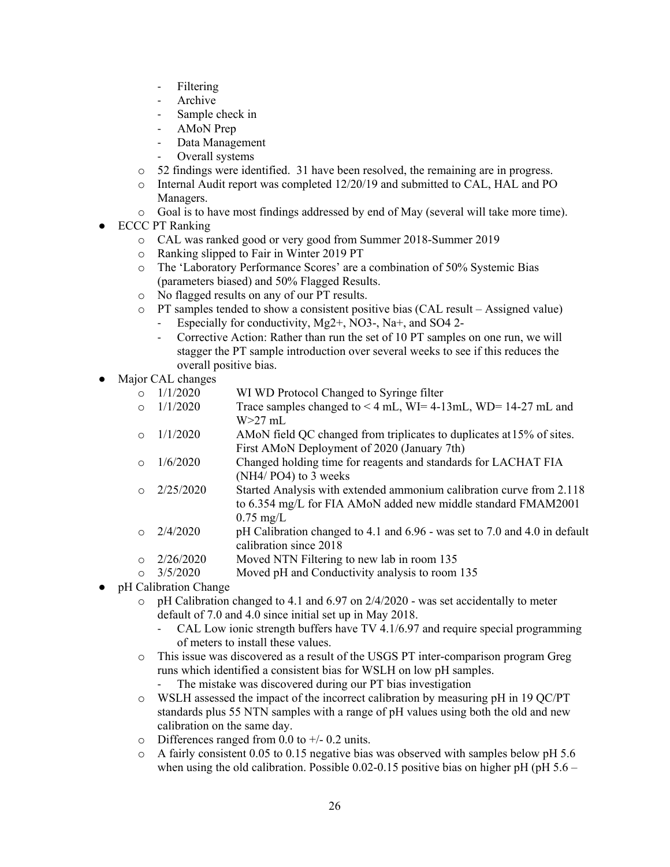- **Filtering**
- Archive
- Sample check in
- AMoN Prep
- Data Management
- Overall systems
- o 52 findings were identified. 31 have been resolved, the remaining are in progress.
- o Internal Audit report was completed 12/20/19 and submitted to CAL, HAL and PO Managers.
- o Goal is to have most findings addressed by end of May (several will take more time).
- ECCC PT Ranking
	- o CAL was ranked good or very good from Summer 2018-Summer 2019
	- o Ranking slipped to Fair in Winter 2019 PT
	- o The 'Laboratory Performance Scores' are a combination of 50% Systemic Bias (parameters biased) and 50% Flagged Results.
	- o No flagged results on any of our PT results.
	- $\circ$  PT samples tended to show a consistent positive bias (CAL result Assigned value) Especially for conductivity,  $Mg2+$ , NO3-, Na+, and SO4 2-
		- Corrective Action: Rather than run the set of 10 PT samples on one run, we will stagger the PT sample introduction over several weeks to see if this reduces the overall positive bias.
- Major CAL changes
	- o  $1/1/2020$  WI WD Protocol Changed to Syringe filter<br>o  $1/1/2020$  Trace samples changed to < 4 mL, WI= 4-1
	- Trace samples changed to  $\leq 4$  mL, WI= 4-13mL, WD= 14-27 mL and  $W>27$  mL
	- $\circ$  1/1/2020 AMoN field QC changed from triplicates to duplicates at 15% of sites. First AMoN Deployment of 2020 (January 7th)
	- o 1/6/2020 Changed holding time for reagents and standards for LACHAT FIA (NH4/ PO4) to 3 weeks
	- $\degree$  2/25/2020 Started Analysis with extended ammonium calibration curve from 2.118 to 6.354 mg/L for FIA AMoN added new middle standard FMAM2001 0.75 mg/L
	- $\degree$  2/4/2020 pH Calibration changed to 4.1 and 6.96 was set to 7.0 and 4.0 in default calibration since 2018
	- $\degree$  2/26/2020 Moved NTN Filtering to new lab in room 135<br> $\degree$  3/5/2020 Moved pH and Conductivity analysis to room
	- Moved pH and Conductivity analysis to room 135
- pH Calibration Change
	- $\circ$  pH Calibration changed to 4.1 and 6.97 on 2/4/2020 was set accidentally to meter default of 7.0 and 4.0 since initial set up in May 2018.
		- CAL Low ionic strength buffers have TV 4.1/6.97 and require special programming of meters to install these values.
	- o This issue was discovered as a result of the USGS PT inter-comparison program Greg runs which identified a consistent bias for WSLH on low pH samples.
		- The mistake was discovered during our PT bias investigation
	- o WSLH assessed the impact of the incorrect calibration by measuring pH in 19 QC/PT standards plus 55 NTN samples with a range of pH values using both the old and new calibration on the same day.
	- $\circ$  Differences ranged from 0.0 to  $+/-$  0.2 units.
	- $\circ$  A fairly consistent 0.05 to 0.15 negative bias was observed with samples below pH 5.6 when using the old calibration. Possible 0.02-0.15 positive bias on higher pH (pH  $5.6 -$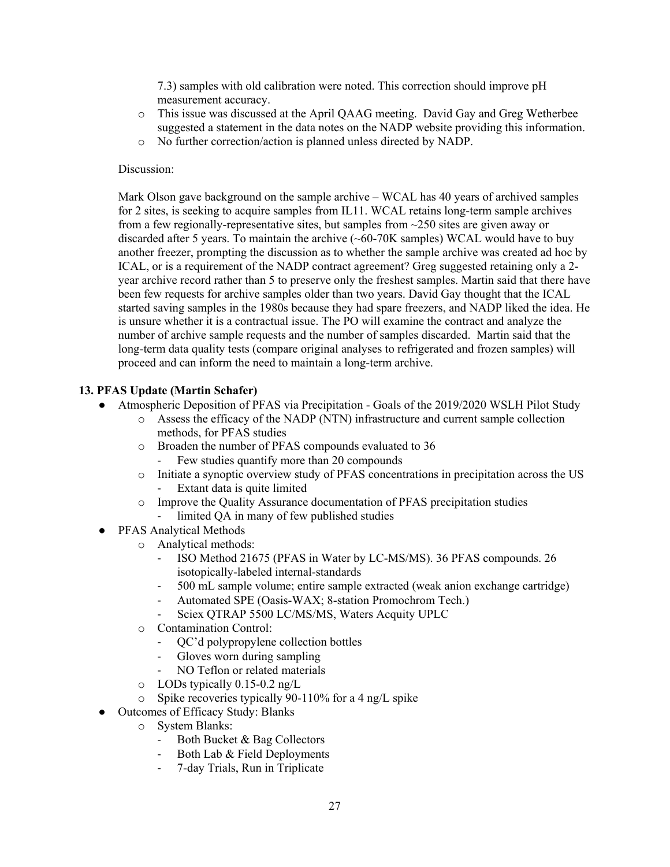7.3) samples with old calibration were noted. This correction should improve pH measurement accuracy.

- o This issue was discussed at the April QAAG meeting. David Gay and Greg Wetherbee suggested a statement in the data notes on the NADP website providing this information.
- o No further correction/action is planned unless directed by NADP.

## Discussion:

Mark Olson gave background on the sample archive – WCAL has 40 years of archived samples for 2 sites, is seeking to acquire samples from IL11. WCAL retains long-term sample archives from a few regionally-representative sites, but samples from  $\sim$ 250 sites are given away or discarded after 5 years. To maintain the archive  $(\sim 60-70K)$  samples) WCAL would have to buy another freezer, prompting the discussion as to whether the sample archive was created ad hoc by ICAL, or is a requirement of the NADP contract agreement? Greg suggested retaining only a 2 year archive record rather than 5 to preserve only the freshest samples. Martin said that there have been few requests for archive samples older than two years. David Gay thought that the ICAL started saving samples in the 1980s because they had spare freezers, and NADP liked the idea. He is unsure whether it is a contractual issue. The PO will examine the contract and analyze the number of archive sample requests and the number of samples discarded. Martin said that the long-term data quality tests (compare original analyses to refrigerated and frozen samples) will proceed and can inform the need to maintain a long-term archive.

# **13. PFAS Update (Martin Schafer)**

- Atmospheric Deposition of PFAS via Precipitation Goals of the 2019/2020 WSLH Pilot Study
	- o Assess the efficacy of the NADP (NTN) infrastructure and current sample collection methods, for PFAS studies
	- o Broaden the number of PFAS compounds evaluated to 36
		- Few studies quantify more than 20 compounds
	- o Initiate a synoptic overview study of PFAS concentrations in precipitation across the US Extant data is quite limited
	- o Improve the Quality Assurance documentation of PFAS precipitation studies
		- limited QA in many of few published studies
- PFAS Analytical Methods
	- o Analytical methods:
		- ISO Method 21675 (PFAS in Water by LC-MS/MS). 36 PFAS compounds. 26 isotopically-labeled internal-standards
		- 500 mL sample volume; entire sample extracted (weak anion exchange cartridge)
		- Automated SPE (Oasis-WAX; 8-station Promochrom Tech.)
		- Sciex QTRAP 5500 LC/MS/MS, Waters Acquity UPLC
		- o Contamination Control:
			- QC'd polypropylene collection bottles
			- Gloves worn during sampling
			- NO Teflon or related materials
		- o LODs typically 0.15-0.2 ng/L
		- o Spike recoveries typically 90-110% for a 4 ng/L spike
- Outcomes of Efficacy Study: Blanks
	- o System Blanks:
		- Both Bucket & Bag Collectors
		- Both Lab & Field Deployments
		- 7-day Trials, Run in Triplicate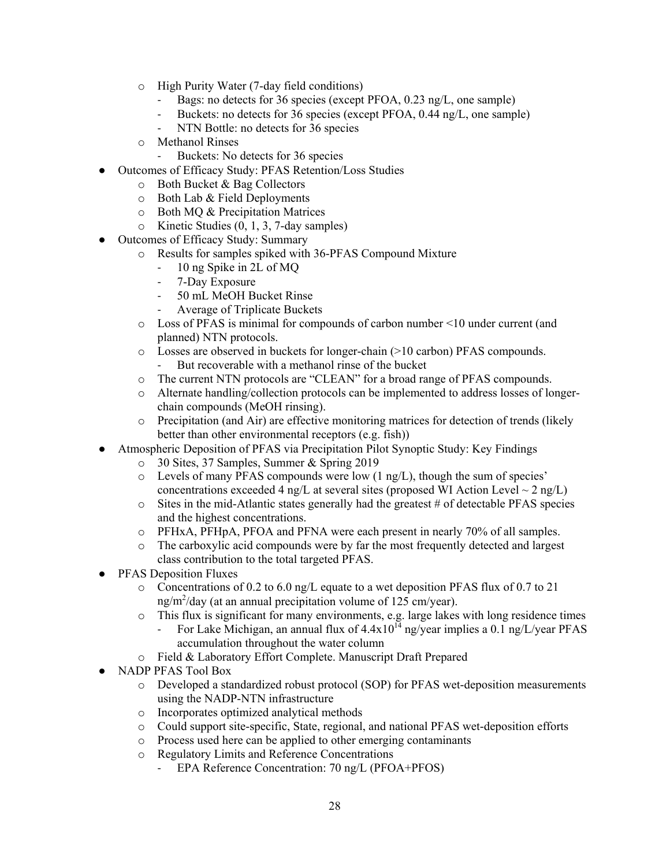- o High Purity Water (7-day field conditions)
	- Bags: no detects for 36 species (except PFOA, 0.23 ng/L, one sample)
	- Buckets: no detects for 36 species (except PFOA, 0.44 ng/L, one sample)
	- NTN Bottle: no detects for 36 species
- o Methanol Rinses
	- Buckets: No detects for 36 species
- Outcomes of Efficacy Study: PFAS Retention/Loss Studies
	- o Both Bucket & Bag Collectors
	- o Both Lab & Field Deployments
	- o Both MQ & Precipitation Matrices
	- o Kinetic Studies (0, 1, 3, 7-day samples)
- Outcomes of Efficacy Study: Summary
	- o Results for samples spiked with 36-PFAS Compound Mixture
		- 10 ng Spike in 2L of MQ
		- 7-Day Exposure
		- 50 mL MeOH Bucket Rinse
		- Average of Triplicate Buckets
	- o Loss of PFAS is minimal for compounds of carbon number <10 under current (and planned) NTN protocols.
	- $\circ$  Losses are observed in buckets for longer-chain (>10 carbon) PFAS compounds.<br>- But recoverable with a methanol rinse of the bucket But recoverable with a methanol rinse of the bucket
	- o The current NTN protocols are "CLEAN" for a broad range of PFAS compounds.
	- o Alternate handling/collection protocols can be implemented to address losses of longerchain compounds (MeOH rinsing).
	- o Precipitation (and Air) are effective monitoring matrices for detection of trends (likely better than other environmental receptors (e.g. fish))
- Atmospheric Deposition of PFAS via Precipitation Pilot Synoptic Study: Key Findings
	- o 30 Sites, 37 Samples, Summer & Spring 2019
	- $\circ$  Levels of many PFAS compounds were low (1 ng/L), though the sum of species' concentrations exceeded 4 ng/L at several sites (proposed WI Action Level  $\sim 2$  ng/L)
	- $\circ$  Sites in the mid-Atlantic states generally had the greatest # of detectable PFAS species and the highest concentrations.
	- o PFHxA, PFHpA, PFOA and PFNA were each present in nearly 70% of all samples.
	- o The carboxylic acid compounds were by far the most frequently detected and largest class contribution to the total targeted PFAS.
- **PFAS Deposition Fluxes** 
	- $\circ$  Concentrations of 0.2 to 6.0 ng/L equate to a wet deposition PFAS flux of 0.7 to 21 ng/m<sup>2</sup>/day (at an annual precipitation volume of 125 cm/year).
	- o This flux is significant for many environments, e.g. large lakes with long residence times For Lake Michigan, an annual flux of  $4.4x10^{14}$  ng/year implies a 0.1 ng/L/year PFAS accumulation throughout the water column
	- o Field & Laboratory Effort Complete. Manuscript Draft Prepared
- NADP PFAS Tool Box
	- o Developed a standardized robust protocol (SOP) for PFAS wet-deposition measurements using the NADP-NTN infrastructure
	- o Incorporates optimized analytical methods
	- o Could support site-specific, State, regional, and national PFAS wet-deposition efforts
	- o Process used here can be applied to other emerging contaminants
	- o Regulatory Limits and Reference Concentrations
		- EPA Reference Concentration: 70 ng/L (PFOA+PFOS)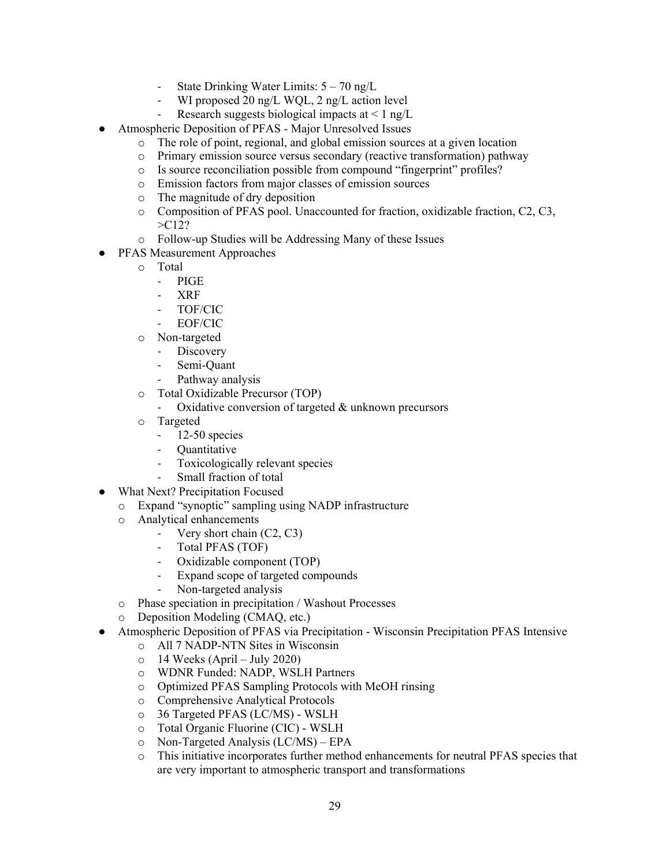- State Drinking Water Limits: 5 70 ng/L
- WI proposed 20 ng/L WQL, 2 ng/L action level
- Research suggests biological impacts at  $\leq 1$  ng/L
- Atmospheric Deposition of PFAS Major Unresolved Issues
	-
	- o The role of point, regional, and global emission sources at a given location Primary emission source versus secondary (reactive transformation) pathway
	- o Is source reconciliation possible from compound "fingerprint" profiles?
	- o Emission factors from major classes of emission sources
	- o The magnitude of dry deposition
	- o Composition of PFAS pool. Unaccounted for fraction, oxidizable fraction, C2, C3, >C12?
	- o Follow-up Studies will be Addressing Many of these Issues
- PFAS Measurement Approaches
	- o Total
		- PIGE
		- XRF
		- TOF/CIC
		- EOF/CIC
	- o Non-targeted
		- Discovery
		- Semi-Quant
		- Pathway analysis
	- o Total Oxidizable Precursor (TOP)
		- Oxidative conversion of targeted & unknown precursors
	- o Targeted
		- 12-50 species
		- Quantitative
		- Toxicologically relevant species
		- Small fraction of total
- What Next? Precipitation Focused
	- o Expand "synoptic" sampling using NADP infrastructure
	- o Analytical enhancements
		- Very short chain (C2, C3)
		- Total PFAS (TOF)
		- Oxidizable component (TOP)
		- Expand scope of targeted compounds
		- Non-targeted analysis
	- o Phase speciation in precipitation / Washout Processes
	- Deposition Modeling (CMAQ, etc.)
- Atmospheric Deposition of PFAS via Precipitation Wisconsin Precipitation PFAS Intensive
	- o All 7 NADP-NTN Sites in Wisconsin
		- $\circ$  14 Weeks (April July 2020)
		- o WDNR Funded: NADP, WSLH Partners
		- Optimized PFAS Sampling Protocols with MeOH rinsing
		-
		- o Comprehensive Analytical Protocols<br>
		o 36 Targeted PFAS (LC/MS) WSLH o 36 Targeted PFAS (LC/MS) - WSLH
		- o Total Organic Fluorine (CIC) WSLH
		- o Non-Targeted Analysis (LC/MS) EPA
		- o This initiative incorporates further method enhancements for neutral PFAS species that are very important to atmospheric transport and transformations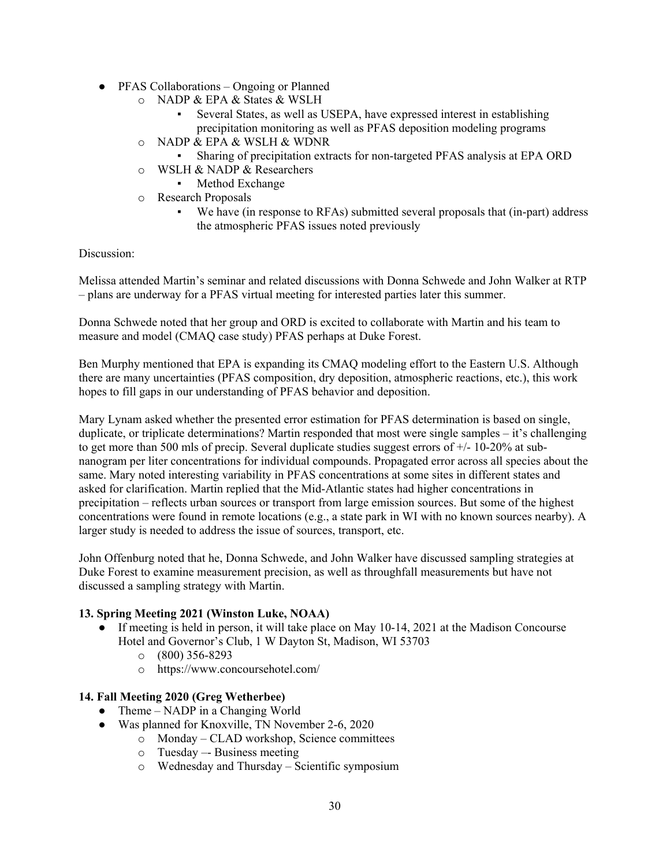- PFAS Collaborations Ongoing or Planned
	- o NADP & EPA & States & WSLH
		- Several States, as well as USEPA, have expressed interest in establishing precipitation monitoring as well as PFAS deposition modeling programs
	- o NADP & EPA & WSLH & WDNR
		- Sharing of precipitation extracts for non-targeted PFAS analysis at EPA ORD
	- o WSLH & NADP & Researchers
		- Method Exchange
	- o Research Proposals
		- We have (in response to RFAs) submitted several proposals that (in-part) address the atmospheric PFAS issues noted previously

Melissa attended Martin's seminar and related discussions with Donna Schwede and John Walker at RTP – plans are underway for a PFAS virtual meeting for interested parties later this summer.

Donna Schwede noted that her group and ORD is excited to collaborate with Martin and his team to measure and model (CMAQ case study) PFAS perhaps at Duke Forest.

Ben Murphy mentioned that EPA is expanding its CMAQ modeling effort to the Eastern U.S. Although there are many uncertainties (PFAS composition, dry deposition, atmospheric reactions, etc.), this work hopes to fill gaps in our understanding of PFAS behavior and deposition.

Mary Lynam asked whether the presented error estimation for PFAS determination is based on single, duplicate, or triplicate determinations? Martin responded that most were single samples – it's challenging to get more than 500 mls of precip. Several duplicate studies suggest errors of +/- 10-20% at subnanogram per liter concentrations for individual compounds. Propagated error across all species about the same. Mary noted interesting variability in PFAS concentrations at some sites in different states and asked for clarification. Martin replied that the Mid-Atlantic states had higher concentrations in precipitation – reflects urban sources or transport from large emission sources. But some of the highest concentrations were found in remote locations (e.g., a state park in WI with no known sources nearby). A larger study is needed to address the issue of sources, transport, etc.

John Offenburg noted that he, Donna Schwede, and John Walker have discussed sampling strategies at Duke Forest to examine measurement precision, as well as throughfall measurements but have not discussed a sampling strategy with Martin.

# **13. Spring Meeting 2021 (Winston Luke, NOAA)**

- If meeting is held in person, it will take place on May 10-14, 2021 at the Madison Concourse Hotel and Governor's Club, 1 W Dayton St, Madison, WI 53703
	- o (800) 356-8293
	- o https://www.concoursehotel.com/

# **14. Fall Meeting 2020 (Greg Wetherbee)**

- Theme NADP in a Changing World
- Was planned for Knoxville, TN November 2-6, 2020
	- o Monday CLAD workshop, Science committees
		- o Tuesday –- Business meeting
		- o Wednesday and Thursday Scientific symposium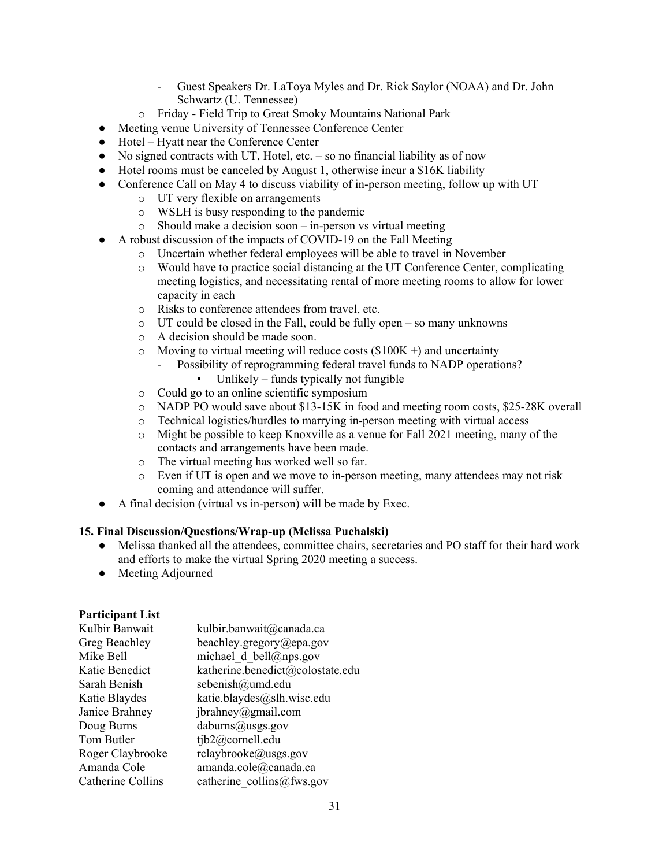- Guest Speakers Dr. LaToya Myles and Dr. Rick Saylor (NOAA) and Dr. John Schwartz (U. Tennessee)
- o Friday Field Trip to Great Smoky Mountains National Park
- Meeting venue University of Tennessee Conference Center
- Hotel Hyatt near the Conference Center
- No signed contracts with UT, Hotel, etc. so no financial liability as of now
- Hotel rooms must be canceled by August 1, otherwise incur a \$16K liability
- Conference Call on May 4 to discuss viability of in-person meeting, follow up with UT
	- o UT very flexible on arrangements
	- o WSLH is busy responding to the pandemic
	- o Should make a decision soon in-person vs virtual meeting
- A robust discussion of the impacts of COVID-19 on the Fall Meeting
	- o Uncertain whether federal employees will be able to travel in November
	- o Would have to practice social distancing at the UT Conference Center, complicating meeting logistics, and necessitating rental of more meeting rooms to allow for lower capacity in each
	- o Risks to conference attendees from travel, etc.
	- o UT could be closed in the Fall, could be fully open so many unknowns
	- o A decision should be made soon.
	- $\circ$  Moving to virtual meeting will reduce costs (\$100K +) and uncertainty
		- Possibility of reprogramming federal travel funds to NADP operations?
			- Unlikely funds typically not fungible
	- o Could go to an online scientific symposium
	- o NADP PO would save about \$13-15K in food and meeting room costs, \$25-28K overall
	- o Technical logistics/hurdles to marrying in-person meeting with virtual access
	- o Might be possible to keep Knoxville as a venue for Fall 2021 meeting, many of the contacts and arrangements have been made.
	- o The virtual meeting has worked well so far.
	- o Even if UT is open and we move to in-person meeting, many attendees may not risk coming and attendance will suffer.
- A final decision (virtual vs in-person) will be made by Exec.

## **15. Final Discussion/Questions/Wrap-up (Melissa Puchalski)**

- Melissa thanked all the attendees, committee chairs, secretaries and PO staff for their hard work and efforts to make the virtual Spring 2020 meeting a success.
- Meeting Adjourned

## **Participant List**

| kulbir.banwait@canada.ca         |
|----------------------------------|
| beachley.gregory@epa.gov         |
| michael d bell@nps.gov           |
| katherine.benedict@colostate.edu |
| sebenish@umd.edu                 |
| katie.blaydes@slh.wisc.edu       |
| jbrahney@gmail.com               |
| daburns@usgs.gov                 |
| tjb2@cornell.edu                 |
| rclaybrooke@usgs.gov             |
| amanda.cole@canada.ca            |
| catherine collins@fws.gov        |
|                                  |